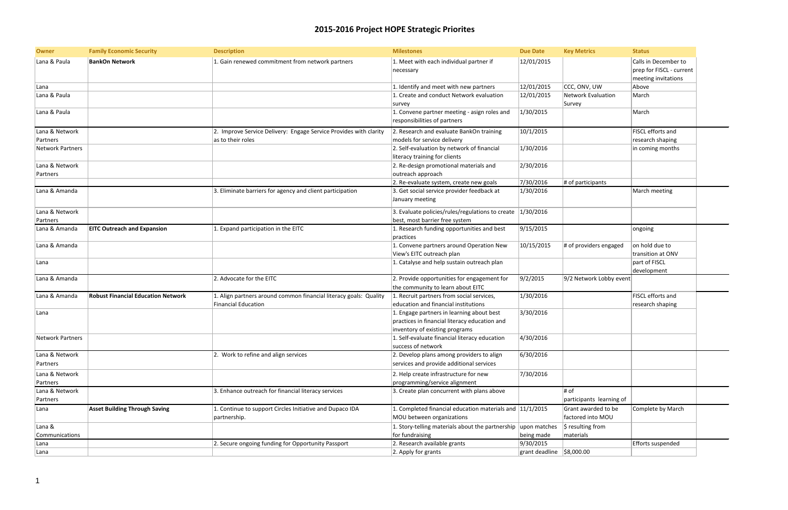## **2015-2016 Project HOPE Strategic Priorites**

| <b>Due Date</b> | <b>Key Metrics</b>        | <b>Status</b>            |  |
|-----------------|---------------------------|--------------------------|--|
| 12/01/2015      |                           | Calls in December to     |  |
|                 |                           | prep for FISCL - current |  |
|                 |                           | meeting invitations      |  |
| 12/01/2015      | CCC, ONV, UW              | Above                    |  |
| 12/01/2015      | <b>Network Evaluation</b> | March                    |  |
|                 | Survey                    |                          |  |
| 1/30/2015       |                           | March                    |  |
|                 |                           |                          |  |
| 10/1/2015       |                           | FISCL efforts and        |  |
|                 |                           | research shaping         |  |
| 1/30/2016       |                           | in coming months         |  |
|                 |                           |                          |  |
| 2/30/2016       |                           |                          |  |
|                 |                           |                          |  |
| 7/30/2016       | # of participants         |                          |  |
| 1/30/2016       |                           | March meeting            |  |
|                 |                           |                          |  |
|                 |                           |                          |  |
| 1/30/2016       |                           |                          |  |
| 9/15/2015       |                           |                          |  |
|                 |                           | ongoing                  |  |
| 10/15/2015      | # of providers engaged    | on hold due to           |  |
|                 |                           | transition at ONV        |  |
|                 |                           | part of FISCL            |  |
|                 |                           | development              |  |
| 9/2/2015        | 9/2 Network Lobby event   |                          |  |
|                 |                           |                          |  |
| 1/30/2016       |                           | FISCL efforts and        |  |
|                 |                           | research shaping         |  |
| 3/30/2016       |                           |                          |  |
|                 |                           |                          |  |
|                 |                           |                          |  |
| 4/30/2016       |                           |                          |  |
|                 |                           |                          |  |
| 6/30/2016       |                           |                          |  |
|                 |                           |                          |  |
| 7/30/2016       |                           |                          |  |
|                 |                           |                          |  |
|                 | # of                      |                          |  |
|                 | participants learning of  |                          |  |
| 11/1/2015       | Grant awarded to be       | Complete by March        |  |
|                 | factored into MOU         |                          |  |
| upon matches    | \$ resulting from         |                          |  |
| being made      | materials                 |                          |  |
| 9/30/2015       |                           | Efforts suspended        |  |
| grant deadline  | \$8,000.00                |                          |  |
|                 |                           |                          |  |

| <b>Owner</b>     | <b>Family Economic Security</b>           | <b>Description</b>                                                | <b>Milestones</b>                                               | <b>Due Date</b>           | <b>Key Metrics</b>       | <b>Status</b>       |
|------------------|-------------------------------------------|-------------------------------------------------------------------|-----------------------------------------------------------------|---------------------------|--------------------------|---------------------|
| Lana & Paula     | <b>BankOn Network</b>                     | 1. Gain renewed commitment from network partners                  | 1. Meet with each individual partner if                         | 12/01/2015                |                          | Calls in December   |
|                  |                                           |                                                                   | necessary                                                       |                           |                          | prep for FISCL - cu |
|                  |                                           |                                                                   |                                                                 |                           |                          | meeting invitation  |
| Lana             |                                           |                                                                   | 1. Identify and meet with new partners                          | 12/01/2015                | CCC, ONV, UW             | Above               |
| Lana & Paula     |                                           |                                                                   | 1. Create and conduct Network evaluation                        | 12/01/2015                | Network Evaluation       | March               |
|                  |                                           |                                                                   | survey                                                          |                           | Survey                   |                     |
| Lana & Paula     |                                           |                                                                   | 1. Convene partner meeting - asign roles and                    | 1/30/2015                 |                          | March               |
|                  |                                           |                                                                   | responsibilities of partners                                    |                           |                          |                     |
| Lana & Network   |                                           | 2. Improve Service Delivery: Engage Service Provides with clarity | 2. Research and evaluate BankOn training                        | 10/1/2015                 |                          | FISCL efforts and   |
| Partners         |                                           | as to their roles                                                 | models for service delivery                                     |                           |                          | research shaping    |
| Network Partners |                                           |                                                                   | 2. Self-evaluation by network of financial                      | 1/30/2016                 |                          | in coming months    |
|                  |                                           |                                                                   | literacy training for clients                                   |                           |                          |                     |
| Lana & Network   |                                           |                                                                   | 2. Re-design promotional materials and                          | 2/30/2016                 |                          |                     |
| Partners         |                                           |                                                                   | outreach approach                                               |                           |                          |                     |
|                  |                                           |                                                                   | 2. Re-evaluate system, create new goals                         | 7/30/2016                 | # of participants        |                     |
| Lana & Amanda    |                                           | 3. Eliminate barriers for agency and client participation         | 3. Get social service provider feedback at                      | 1/30/2016                 |                          | March meeting       |
|                  |                                           |                                                                   | January meeting                                                 |                           |                          |                     |
|                  |                                           |                                                                   |                                                                 |                           |                          |                     |
| Lana & Network   |                                           |                                                                   | 3. Evaluate policies/rules/regulations to create $ 1/30/2016$   |                           |                          |                     |
| Partners         |                                           |                                                                   | best, most barrier free system                                  |                           |                          |                     |
| Lana & Amanda    | <b>EITC Outreach and Expansion</b>        | 1. Expand participation in the EITC                               | 1. Research funding opportunities and best                      | 9/15/2015                 |                          | ongoing             |
|                  |                                           |                                                                   | practices                                                       |                           |                          |                     |
| Lana & Amanda    |                                           |                                                                   | 1. Convene partners around Operation New                        | 10/15/2015                | # of providers engaged   | on hold due to      |
|                  |                                           |                                                                   | View's EITC outreach plan                                       |                           |                          | transition at ONV   |
| Lana             |                                           |                                                                   | 1. Catalyse and help sustain outreach plan                      |                           |                          | part of FISCL       |
|                  |                                           |                                                                   |                                                                 |                           |                          | development         |
| Lana & Amanda    |                                           | 2. Advocate for the EITC                                          | 2. Provide opportunities for engagement for                     | 9/2/2015                  | 9/2 Network Lobby event  |                     |
| Lana & Amanda    | <b>Robust Financial Education Network</b> |                                                                   | the community to learn about EITC                               |                           |                          | FISCL efforts and   |
|                  |                                           | 1. Align partners around common financial literacy goals: Quality | 1. Recruit partners from social services,                       | 1/30/2016                 |                          |                     |
|                  |                                           | <b>Financial Education</b>                                        | education and financial institutions                            |                           |                          | research shaping    |
| Lana             |                                           |                                                                   | 1. Engage partners in learning about best                       | 3/30/2016                 |                          |                     |
|                  |                                           |                                                                   | practices in financial literacy education and                   |                           |                          |                     |
|                  |                                           |                                                                   | inventory of existing programs                                  |                           |                          |                     |
| Network Partners |                                           |                                                                   | 1. Self-evaluate financial literacy education                   | 4/30/2016                 |                          |                     |
| Lana & Network   |                                           | 2. Work to refine and align services                              | success of network<br>2. Develop plans among providers to align |                           |                          |                     |
|                  |                                           |                                                                   |                                                                 | 6/30/2016                 |                          |                     |
| Partners         |                                           |                                                                   | services and provide additional services                        |                           |                          |                     |
| Lana & Network   |                                           |                                                                   | 2. Help create infrastructure for new                           | 7/30/2016                 |                          |                     |
| Partners         |                                           |                                                                   | programming/service alignment                                   |                           |                          |                     |
| Lana & Network   |                                           | 3. Enhance outreach for financial literacy services               | 3. Create plan concurrent with plans above                      |                           | # of                     |                     |
| Partners         |                                           |                                                                   |                                                                 |                           | participants learning of |                     |
| Lana             | <b>Asset Building Through Saving</b>      | 1. Continue to support Circles Initiative and Dupaco IDA          | 1. Completed financial education materials and 11/1/2015        |                           | Grant awarded to be      | Complete by Mar     |
|                  |                                           | partnership.                                                      | MOU between organizations                                       |                           | factored into MOU        |                     |
| Lana &           |                                           |                                                                   | 1. Story-telling materials about the partnership                | upon matches              | \$ resulting from        |                     |
| Communications   |                                           |                                                                   | for fundraising                                                 | being made                | materials                |                     |
| Lana             |                                           | 2. Secure ongoing funding for Opportunity Passport                | 2. Research available grants                                    | 9/30/2015                 |                          | Efforts suspended   |
| Lana             |                                           |                                                                   | 2. Apply for grants                                             | grant deadline \$8,000.00 |                          |                     |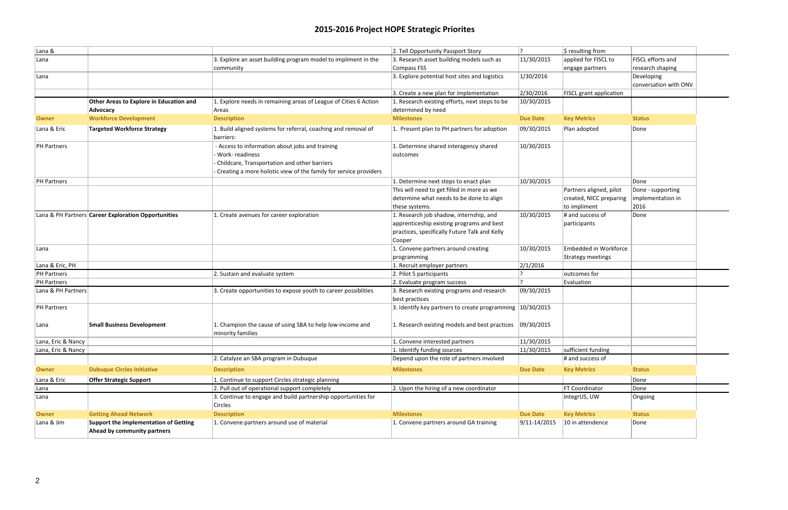## **2015-2016 Project HOPE Strategic Priorites**

| \$ resulting from        |                       |  |
|--------------------------|-----------------------|--|
| applied for FISCL to     | FISCL efforts and     |  |
| engage partners          | research shaping      |  |
|                          | Developing            |  |
|                          | conversation with ONV |  |
| FISCL grant application  |                       |  |
|                          |                       |  |
| <b>Key Metrics</b>       | <b>Status</b>         |  |
|                          |                       |  |
| Plan adopted             | Done                  |  |
|                          |                       |  |
|                          |                       |  |
|                          |                       |  |
|                          |                       |  |
|                          |                       |  |
|                          | Done                  |  |
| Partners aligned, pilot  | Done - supporting     |  |
| created, NICC preparing  | implementation in     |  |
| to impliment             | 2016                  |  |
| # and success of         | Done                  |  |
| participants             |                       |  |
|                          |                       |  |
| Embedded in Workforce    |                       |  |
| <b>Strategy meetings</b> |                       |  |
|                          |                       |  |
| outcomes for             |                       |  |
| Evaluation               |                       |  |
|                          |                       |  |
|                          |                       |  |
|                          |                       |  |
|                          |                       |  |
|                          |                       |  |
|                          |                       |  |
|                          |                       |  |
| sufficient funding       |                       |  |
| # and success of         |                       |  |
| <b>Key Metrics</b>       | <b>Status</b>         |  |
|                          | Done                  |  |
| FT Coordinator           | Done                  |  |
| IntegrUS, UW             | Ongoing               |  |
|                          |                       |  |
| <b>Key Metrics</b>       | <b>Status</b>         |  |
| 10 in attendence         | Done                  |  |
|                          |                       |  |
|                          |                       |  |

| Lana &             |                                                                      |                                                                                                                                                                                        | 2. Tell Opportunity Passport Story                                                                                                              | ן 2              | $\frac{1}{2}$ resulting from                                       |                                   |
|--------------------|----------------------------------------------------------------------|----------------------------------------------------------------------------------------------------------------------------------------------------------------------------------------|-------------------------------------------------------------------------------------------------------------------------------------------------|------------------|--------------------------------------------------------------------|-----------------------------------|
| Lana               |                                                                      | 3. Explore an asset building program model to impliment in the                                                                                                                         | 3. Research asset building models such as                                                                                                       | 11/30/2015       | applied for FISCL to                                               | FISCL effort                      |
|                    |                                                                      | community                                                                                                                                                                              | Compass FSS                                                                                                                                     |                  | engage partners                                                    | research sh                       |
| Lana               |                                                                      |                                                                                                                                                                                        | 3. Explore potential host sites and logistics                                                                                                   | 1/30/2016        |                                                                    | Developing<br>conversatio         |
|                    |                                                                      |                                                                                                                                                                                        | 3. Create a new plan for implementation                                                                                                         | 2/30/2016        | <b>FISCL</b> grant application                                     |                                   |
|                    | <b>Other Areas to Explore in Education and</b><br>Advocacy           | 1. Explore needs in remaining areas of League of Cities 6 Action<br>Areas                                                                                                              | 1. Research existing efforts, next steps to be<br>determined by need                                                                            | 10/30/2015       |                                                                    |                                   |
| <b>Owner</b>       | <b>Workforce Development</b>                                         | <b>Description</b>                                                                                                                                                                     | <b>Milestones</b>                                                                                                                               | <b>Due Date</b>  | <b>Key Metrics</b>                                                 | <b>Status</b>                     |
| Lana & Eric        | <b>Targeted Workforce Strategy</b>                                   | 1. Build aligned systems for referral, coaching and removal of<br>barriers:                                                                                                            | 1. Present plan to PH partners for adoption                                                                                                     | 09/30/2015       | Plan adopted                                                       | Done                              |
| PH Partners        |                                                                      | - Access to information about jobs and training<br>Work-readiness<br>Childcare, Transportation and other barriers<br>Creating a more holistic view of the family for service providers | 1. Determine shared interagency shared<br>outcomes                                                                                              | 10/30/2015       |                                                                    |                                   |
| PH Partners        |                                                                      |                                                                                                                                                                                        | 1. Determine next steps to enact plan                                                                                                           | 10/30/2015       |                                                                    | Done                              |
|                    |                                                                      |                                                                                                                                                                                        | This will need to get filled in more as we<br>determine what needs to be done to align<br>these systems.                                        |                  | Partners aligned, pilot<br>created, NICC preparing<br>to impliment | Done - supp<br>implementa<br>2016 |
|                    | Lana & PH Partners Career Exploration Opportunities                  | 1. Create avenues for career exploration                                                                                                                                               | 1. Research job shadow, internship, and<br>apprenticeship existing programs and best<br>practices, specifically Future Talk and Kelly<br>Cooper | 10/30/2015       | # and success of<br>participants                                   | Done                              |
| Lana               |                                                                      |                                                                                                                                                                                        | 1. Convene partners around creating<br>programming                                                                                              | 10/30/2015       | Embedded in Workforce<br>Strategy meetings                         |                                   |
| Lana & Eric, PH    |                                                                      |                                                                                                                                                                                        | 1. Recruit employer partners                                                                                                                    | 2/1/2016         |                                                                    |                                   |
| PH Partners        |                                                                      | 2. Sustain and evaluate system                                                                                                                                                         | 2. Pilot 5 participants                                                                                                                         |                  | outcomes for                                                       |                                   |
| PH Partners        |                                                                      |                                                                                                                                                                                        | 2. Evaluate program success                                                                                                                     |                  | Evaluation                                                         |                                   |
| Lana & PH Partners |                                                                      | 3. Create opportunities to expose youth to career possiblities                                                                                                                         | 3. Research existing programs and research<br>best practices                                                                                    | 09/30/2015       |                                                                    |                                   |
| PH Partners        |                                                                      |                                                                                                                                                                                        | 3. Identify key partners to create programming $ 10/30/2015 $                                                                                   |                  |                                                                    |                                   |
| Lana               | <b>Small Business Development</b>                                    | 1. Champion the cause of using SBA to help low-income and<br>minority families                                                                                                         | 1. Research existing models and best practices                                                                                                  | 09/30/2015       |                                                                    |                                   |
| Lana, Eric & Nancy |                                                                      |                                                                                                                                                                                        | 1. Convene interested partners                                                                                                                  | 11/30/2015       |                                                                    |                                   |
| Lana, Eric & Nancy |                                                                      |                                                                                                                                                                                        | 1. Identify funding sources                                                                                                                     | 11/30/2015       | sufficient funding                                                 |                                   |
|                    |                                                                      | 2. Catalyze an SBA program in Dubuque                                                                                                                                                  | Depend upon the role of partners involved                                                                                                       |                  | # and success of                                                   |                                   |
| <b>Owner</b>       | <b>Dubuque Circles Initiative</b>                                    | <b>Description</b>                                                                                                                                                                     | <b>Milestones</b>                                                                                                                               | <b>Due Date</b>  | <b>Key Metrics</b>                                                 | <b>Status</b>                     |
| Lana & Eric        | <b>Offer Strategic Support</b>                                       | 1. Continue to support Circles strategic planning                                                                                                                                      |                                                                                                                                                 |                  |                                                                    | Done                              |
| Lana               |                                                                      | 2. Pull out of operational support completely                                                                                                                                          | 2. Upon the hiring of a new coordinator                                                                                                         |                  | <b>FT Coordinator</b>                                              | Done                              |
| Lana               |                                                                      | 3. Continue to engage and build partnership opportunities for<br>Circles                                                                                                               |                                                                                                                                                 |                  | IntegrUS, UW                                                       | Ongoing                           |
| <b>Owner</b>       | <b>Getting Ahead Network</b>                                         | <b>Description</b>                                                                                                                                                                     | <b>Milestones</b>                                                                                                                               | <b>Due Date</b>  | <b>Key Metrics</b>                                                 | <b>Status</b>                     |
| Lana & Jim         | Support the implementation of Getting<br>Ahead by community partners | 1. Convene partners around use of material                                                                                                                                             | 1. Convene partners around GA training                                                                                                          | $9/11 - 14/2015$ | 10 in attendence                                                   | Done                              |
|                    |                                                                      |                                                                                                                                                                                        |                                                                                                                                                 |                  |                                                                    |                                   |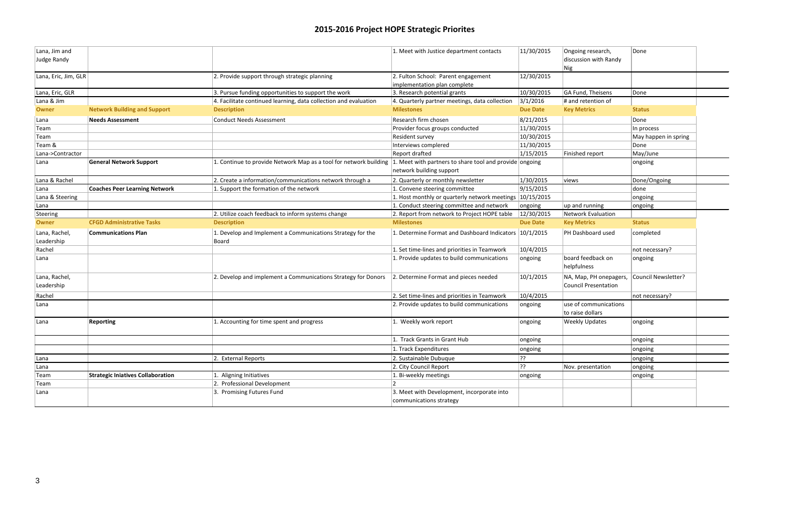### **2015-2016 Project HOPE Strategic Priorites**

| Lana, Jim and<br>Judge Randy |                                          |                                                                      | 1. Meet with Justice department contacts                              | 11/30/2015      | Ongoing research,<br>discussion with Randy<br>Nig | Done                 |  |
|------------------------------|------------------------------------------|----------------------------------------------------------------------|-----------------------------------------------------------------------|-----------------|---------------------------------------------------|----------------------|--|
| Lana, Eric, Jim, GLR         |                                          | 2. Provide support through strategic planning                        | 2. Fulton School: Parent engagement<br>implementation plan complete   | 12/30/2015      |                                                   |                      |  |
| Lana, Eric, GLR              |                                          | 3. Pursue funding opportunities to support the work                  | 3. Research potential grants                                          | 10/30/2015      | GA Fund, Theisens                                 | Done                 |  |
| Lana & Jim                   |                                          | $ 4$ . Facilitate continued learning, data collection and evaluation | 4. Quarterly partner meetings, data collection                        | 3/1/2016        | $\#$ and retention of                             |                      |  |
| <b>Owner</b>                 | <b>Network Building and Support</b>      | <b>Description</b>                                                   | <b>Milestones</b>                                                     | <b>Due Date</b> | <b>Key Metrics</b>                                | <b>Status</b>        |  |
| Lana                         | <b>Needs Assessment</b>                  | <b>Conduct Needs Assessment</b>                                      | Research firm chosen                                                  | 8/21/2015       |                                                   | Done                 |  |
| Team                         |                                          |                                                                      | Provider focus groups conducted                                       | 11/30/2015      |                                                   | In process           |  |
| Team                         |                                          |                                                                      | Resident survey                                                       | 10/30/2015      |                                                   | May happen in spring |  |
| Team &                       |                                          |                                                                      | Interviews complered                                                  | 11/30/2015      |                                                   | Done                 |  |
| Lana->Contractor             |                                          |                                                                      | Report drafted                                                        | 1/15/2015       | Finished report                                   | May/June             |  |
| Lana                         | <b>General Network Support</b>           | 1. Continue to provide Network Map as a tool for network building    | 1. Meet with partners to share tool and provide ongoing               |                 |                                                   | ongoing              |  |
|                              |                                          |                                                                      | network building support                                              |                 |                                                   |                      |  |
| Lana & Rachel                |                                          | 2. Create a information/communications network through a             | 2. Quarterly or monthly newsletter                                    | 1/30/2015       | views                                             | Done/Ongoing         |  |
| Lana                         | <b>Coaches Peer Learning Network</b>     | 1. Support the formation of the network                              | 1. Convene steering committee                                         | 9/15/2015       |                                                   | done                 |  |
| Lana & Steering              |                                          |                                                                      | 1. Host monthly or quarterly network meetings 10/15/2015              |                 |                                                   | ongoing              |  |
| Lana                         |                                          |                                                                      | 1. Conduct steering committee and network                             | ongoing         | up and running                                    | ongoing              |  |
| Steering                     |                                          | 2. Utilize coach feedback to inform systems change                   | 2. Report from network to Project HOPE table                          | 12/30/2015      | Network Evaluation                                |                      |  |
| <b>Owner</b>                 | <b>CFGD Administrative Tasks</b>         | <b>Description</b>                                                   | <b>Milestones</b>                                                     | <b>Due Date</b> | <b>Key Metrics</b>                                | <b>Status</b>        |  |
| Lana, Rachel,<br>Leadership  | <b>Communications Plan</b>               | 1. Develop and Implement a Communications Strategy for the<br>Board  | 1. Determine Format and Dashboard Indicators 10/1/2015                |                 | PH Dashboard used                                 | completed            |  |
| Rachel                       |                                          |                                                                      | 1. Set time-lines and priorities in Teamwork                          | 10/4/2015       |                                                   | not necessary?       |  |
| Lana                         |                                          |                                                                      | 1. Provide updates to build communications                            | ongoing         | board feedback on<br>helpfulness                  | ongoing              |  |
| Lana, Rachel,<br>Leadership  |                                          | 2. Develop and implement a Communications Strategy for Donors        | 2. Determine Format and pieces needed                                 | 10/1/2015       | NA, Map, PH onepagers,<br>Council Presentation    | Council Newsletter?  |  |
| Rachel                       |                                          |                                                                      | 2. Set time-lines and priorities in Teamwork                          | 10/4/2015       |                                                   | not necessary?       |  |
| Lana                         |                                          |                                                                      | 2. Provide updates to build communications                            | ongoing         | use of communications<br>to raise dollars         |                      |  |
| Lana                         | <b>Reporting</b>                         | 1. Accounting for time spent and progress                            | 1. Weekly work report                                                 | ongoing         | <b>Weekly Updates</b>                             | ongoing              |  |
|                              |                                          |                                                                      | 1. Track Grants in Grant Hub                                          | ongoing         |                                                   | ongoing              |  |
|                              |                                          |                                                                      | 1. Track Expenditures                                                 | ongoing         |                                                   | ongoing              |  |
| Lana                         |                                          | 2. External Reports                                                  | 2. Sustainable Dubuque                                                | ??              |                                                   | ongoing              |  |
| Lana                         |                                          |                                                                      | 2. City Council Report                                                | ??              | Nov. presentation                                 | ongoing              |  |
| Team                         | <b>Strategic Iniatives Collaboration</b> | 1. Aligning Initiatives                                              | 1. Bi-weekly meetings                                                 | ongoing         |                                                   | ongoing              |  |
| Team                         |                                          | 2. Professional Development                                          |                                                                       |                 |                                                   |                      |  |
| Lana                         |                                          | 3. Promising Futures Fund                                            | 3. Meet with Development, incorporate into<br>communications strategy |                 |                                                   |                      |  |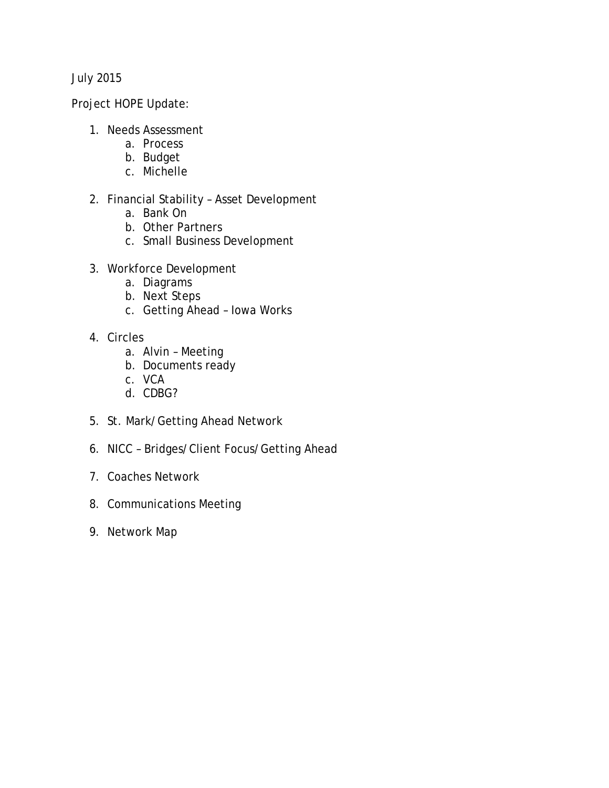July 2015

Project HOPE Update:

- 1. Needs Assessment
	- a. Process
	- b. Budget
	- c. Michelle
- 2. Financial Stability Asset Development
	- a. Bank On
	- b. Other Partners
	- c. Small Business Development
- 3. Workforce Development
	- a. Diagrams
	- b. Next Steps
	- c. Getting Ahead Iowa Works
- 4. Circles
	- a. Alvin Meeting
	- b. Documents ready
	- c. VCA
	- d. CDBG?
- 5. St. Mark/Getting Ahead Network
- 6. NICC Bridges/Client Focus/Getting Ahead
- 7. Coaches Network
- 8. Communications Meeting
- 9. Network Map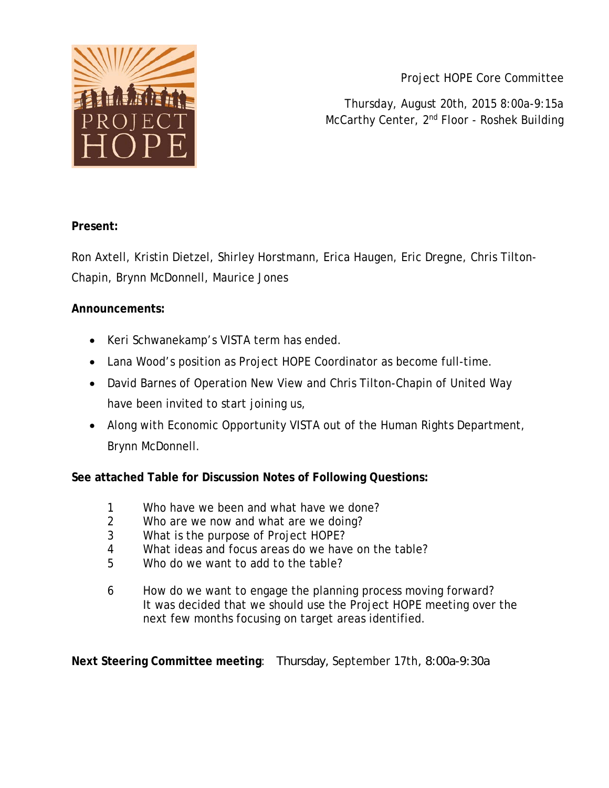

Project HOPE Core Committee

Thursday, August 20th, 2015 8:00a-9:15a McCarthy Center, 2<sup>nd</sup> Floor - Roshek Building

#### **Present:**

Ron Axtell, Kristin Dietzel, Shirley Horstmann, Erica Haugen, Eric Dregne, Chris Tilton-Chapin, Brynn McDonnell, Maurice Jones

#### **Announcements:**

- Keri Schwanekamp's VISTA term has ended.
- Lana Wood's position as Project HOPE Coordinator as become full-time.
- David Barnes of Operation New View and Chris Tilton-Chapin of United Way have been invited to start joining us,
- Along with Economic Opportunity VISTA out of the Human Rights Department, Brynn McDonnell.

**See attached Table for Discussion Notes of Following Questions:**

- 1 Who have we been and what have we done?
- 2 Who are we now and what are we doing?
- 3 What is the purpose of Project HOPE?
- 4 What ideas and focus areas do we have on the table?
- 5 Who do we want to add to the table?
- 6 How do we want to engage the planning process moving forward? It was decided that we should use the Project HOPE meeting over the next few months focusing on target areas identified.

**Next Steering Committee meeting**: Thursday, September 17th, 8:00a-9:30a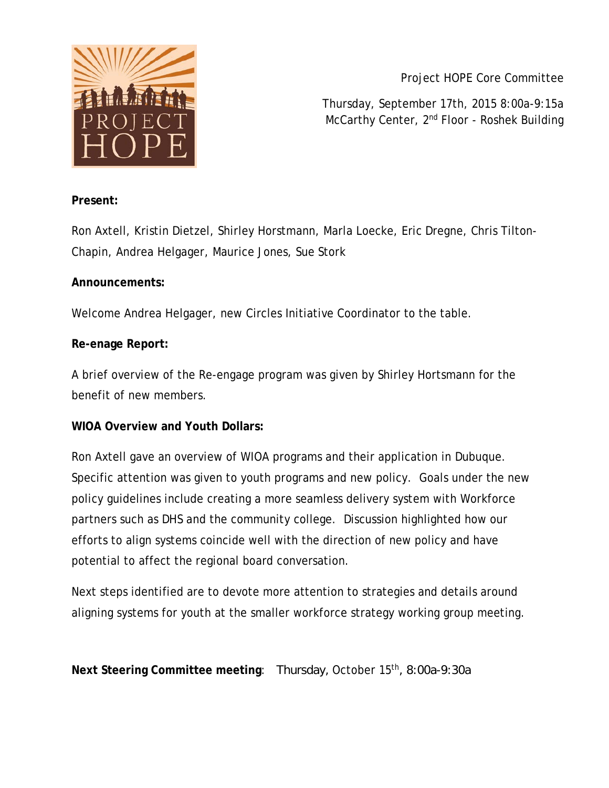

Project HOPE Core Committee

Thursday, September 17th, 2015 8:00a-9:15a McCarthy Center, 2<sup>nd</sup> Floor - Roshek Building

#### **Present:**

Ron Axtell, Kristin Dietzel, Shirley Horstmann, Marla Loecke, Eric Dregne, Chris Tilton-Chapin, Andrea Helgager, Maurice Jones, Sue Stork

#### **Announcements:**

Welcome Andrea Helgager, new Circles Initiative Coordinator to the table.

#### **Re-enage Report:**

A brief overview of the Re-engage program was given by Shirley Hortsmann for the benefit of new members.

#### **WIOA Overview and Youth Dollars:**

Ron Axtell gave an overview of WIOA programs and their application in Dubuque. Specific attention was given to youth programs and new policy. Goals under the new policy guidelines include creating a more seamless delivery system with Workforce partners such as DHS and the community college. Discussion highlighted how our efforts to align systems coincide well with the direction of new policy and have potential to affect the regional board conversation.

Next steps identified are to devote more attention to strategies and details around aligning systems for youth at the smaller workforce strategy working group meeting.

Next Steering Committee meeting: Thursday, October 15<sup>th</sup>, 8:00a-9:30a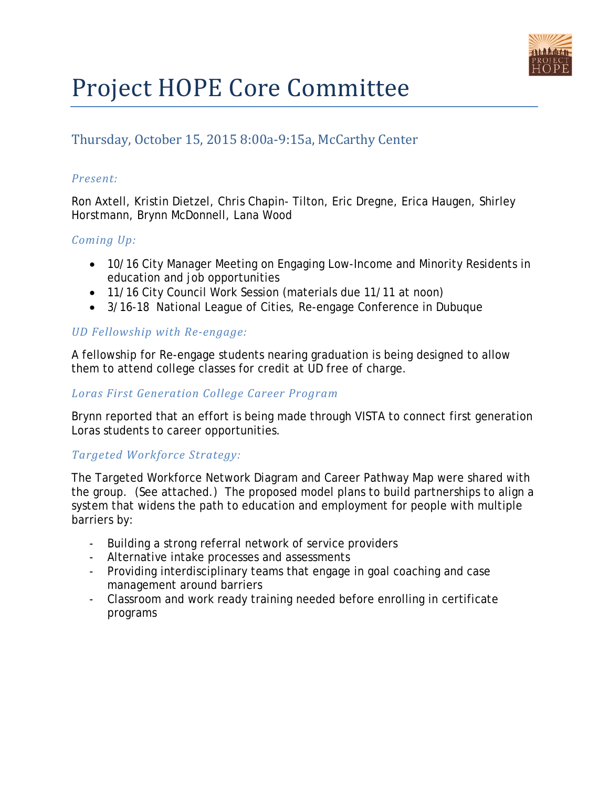

# Project HOPE Core Committee

### Thursday, October 15, 2015 8:00a-9:15a, McCarthy Center

#### *Present:*

Ron Axtell, Kristin Dietzel, Chris Chapin- Tilton, Eric Dregne, Erica Haugen, Shirley Horstmann, Brynn McDonnell, Lana Wood

#### *Coming Up:*

- 10/16 City Manager Meeting on Engaging Low-Income and Minority Residents in education and job opportunities
- 11/16 City Council Work Session (materials due 11/11 at noon)
- 3/16-18 National League of Cities, Re-engage Conference in Dubuque

#### *UD Fellowship with Re-engage:*

A fellowship for Re-engage students nearing graduation is being designed to allow them to attend college classes for credit at UD free of charge.

#### *Loras First Generation College Career Program*

Brynn reported that an effort is being made through VISTA to connect first generation Loras students to career opportunities.

#### *Targeted Workforce Strategy:*

The Targeted Workforce Network Diagram and Career Pathway Map were shared with the group. (See attached.) The proposed model plans to build partnerships to align a system that widens the path to education and employment for people with multiple barriers by:

- Building a strong referral network of service providers
- Alternative intake processes and assessments
- Providing interdisciplinary teams that engage in goal coaching and case management around barriers
- Classroom and work ready training needed before enrolling in certificate programs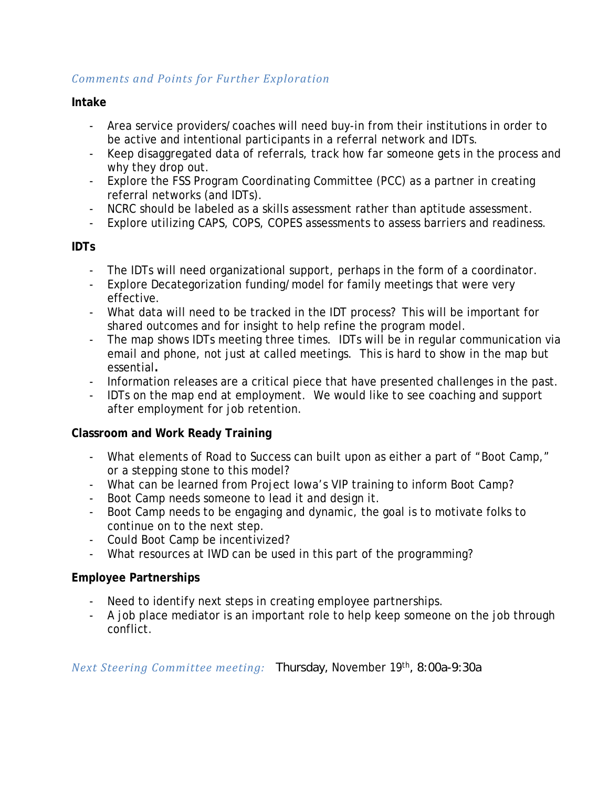#### *Comments and Points for Further Exploration*

#### **Intake**

- Area service providers/coaches will need buy-in from their institutions in order to be active and intentional participants in a referral network and IDTs.
- Keep disaggregated data of referrals, track how far someone gets in the process and why they drop out.
- Explore the FSS Program Coordinating Committee (PCC) as a partner in creating referral networks (and IDTs).
- NCRC should be labeled as a skills assessment rather than aptitude assessment.
- Explore utilizing CAPS, COPS, COPES assessments to assess barriers and readiness.

#### **IDTs**

- The IDTs will need organizational support, perhaps in the form of a coordinator.
- Explore Decategorization funding/model for family meetings that were very effective.
- What data will need to be tracked in the IDT process? This will be important for shared outcomes and for insight to help refine the program model.
- The map shows IDTs meeting three times. IDTs will be in regular communication via email and phone, not just at called meetings. This is hard to show in the map but essential**.**
- Information releases are a critical piece that have presented challenges in the past.
- IDTs on the map end at employment. We would like to see coaching and support after employment for job retention.

#### **Classroom and Work Ready Training**

- What elements of Road to Success can built upon as either a part of "Boot Camp," or a stepping stone to this model?
- What can be learned from Project Iowa's VIP training to inform Boot Camp?
- Boot Camp needs someone to lead it and design it.
- Boot Camp needs to be engaging and dynamic, the goal is to motivate folks to continue on to the next step.
- Could Boot Camp be incentivized?
- What resources at IWD can be used in this part of the programming?

#### **Employee Partnerships**

- Need to identify next steps in creating employee partnerships.
- A job place mediator is an important role to help keep someone on the job through conflict.

*Next Steering Committee meeting:* Thursday, November 19th, 8:00a-9:30a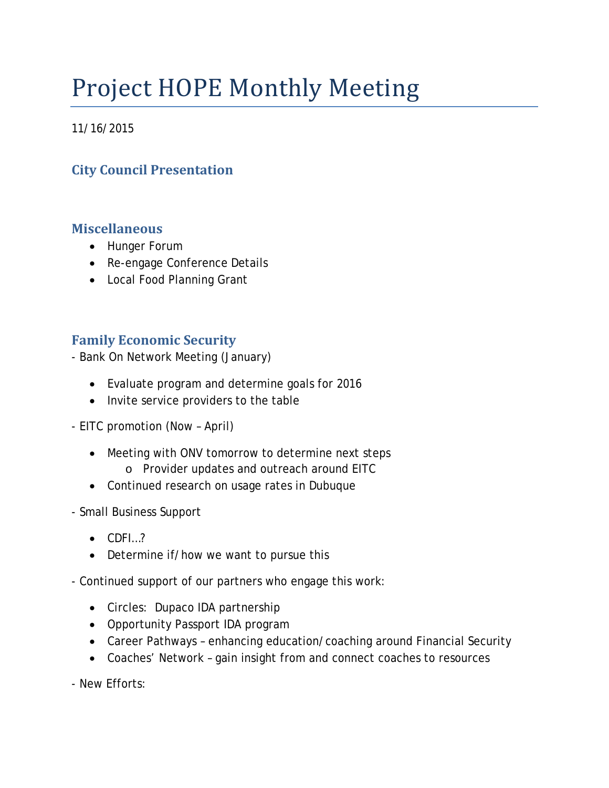# Project HOPE Monthly Meeting

11/16/2015

## **City Council Presentation**

### **Miscellaneous**

- Hunger Forum
- Re-engage Conference Details
- Local Food Planning Grant

## **Family Economic Security**

- Bank On Network Meeting (January)

- Evaluate program and determine goals for 2016
- Invite service providers to the table
- EITC promotion (Now April)
	- Meeting with ONV tomorrow to determine next steps o Provider updates and outreach around EITC
	- Continued research on usage rates in Dubuque
- Small Business Support
	- CDFI…?
	- Determine if/how we want to pursue this

- Continued support of our partners who engage this work:

- Circles: Dupaco IDA partnership
- Opportunity Passport IDA program
- Career Pathways enhancing education/coaching around Financial Security
- Coaches' Network gain insight from and connect coaches to resources

- New Efforts: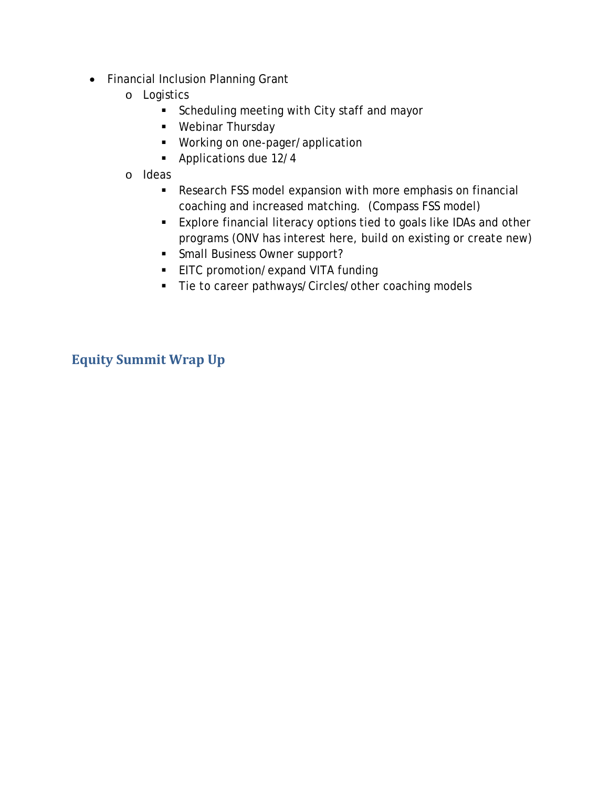- Financial Inclusion Planning Grant
	- o Logistics
		- **Scheduling meeting with City staff and mayor**
		- **Webinar Thursday**
		- **Working on one-pager/application**
		- **Applications due 12/4**
	- o Ideas
		- Research FSS model expansion with more emphasis on financial coaching and increased matching. (Compass FSS model)
		- Explore financial literacy options tied to goals like IDAs and other programs (ONV has interest here, build on existing or create new)
		- **Small Business Owner support?**
		- **EITC promotion/expand VITA funding**
		- Tie to career pathways/Circles/other coaching models

**Equity Summit Wrap Up**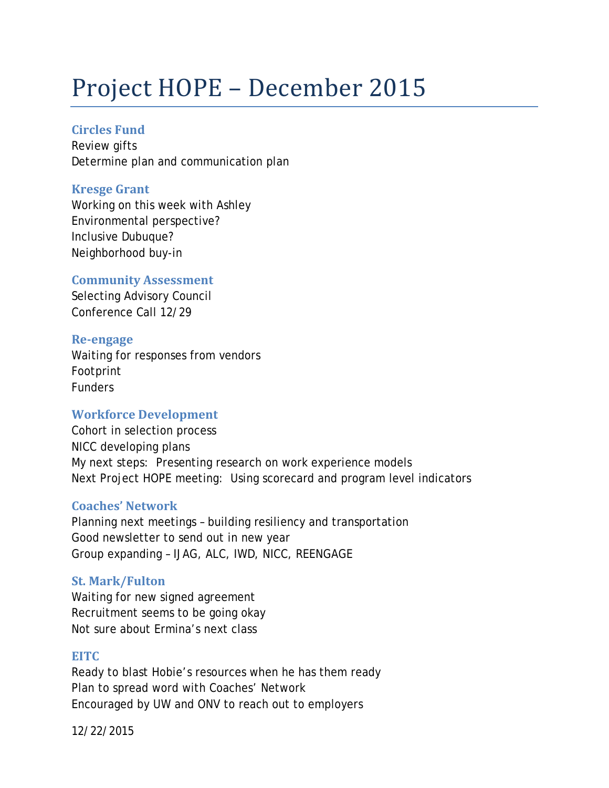# Project HOPE – December 2015

#### **Circles Fund**

Review gifts Determine plan and communication plan

#### **Kresge Grant**

Working on this week with Ashley Environmental perspective? Inclusive Dubuque? Neighborhood buy-in

#### **Community Assessment**

Selecting Advisory Council Conference Call 12/29

#### **Re-engage**

Waiting for responses from vendors Footprint Funders

#### **Workforce Development**

Cohort in selection process NICC developing plans My next steps: Presenting research on work experience models Next Project HOPE meeting: Using scorecard and program level indicators

#### **Coaches' Network**

Planning next meetings – building resiliency and transportation Good newsletter to send out in new year Group expanding – IJAG, ALC, IWD, NICC, REENGAGE

#### **St. Mark/Fulton**

Waiting for new signed agreement Recruitment seems to be going okay Not sure about Ermina's next class

#### **EITC**

Ready to blast Hobie's resources when he has them ready Plan to spread word with Coaches' Network Encouraged by UW and ONV to reach out to employers

12/22/2015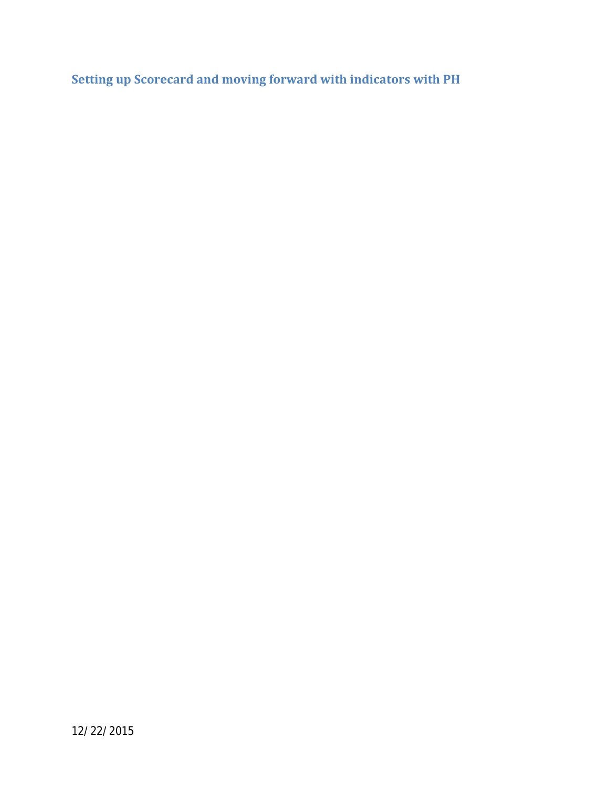**Setting up Scorecard and moving forward with indicators with PH**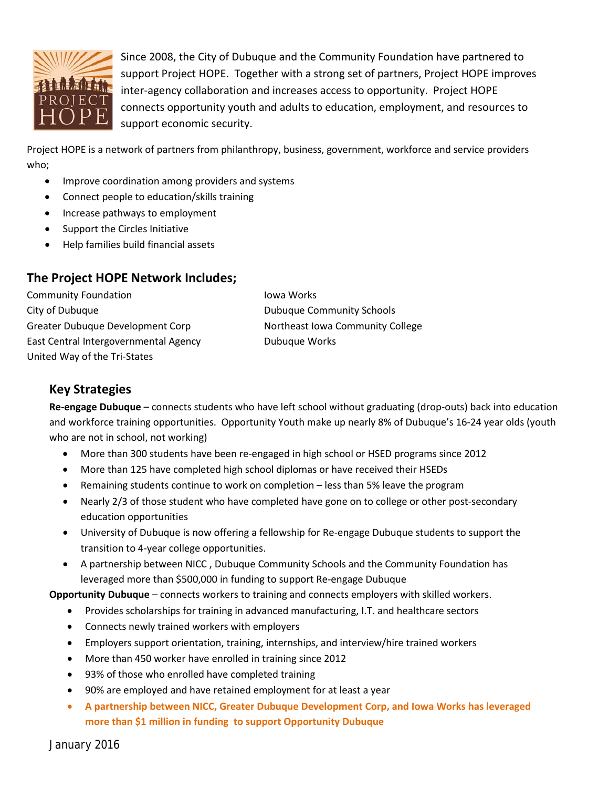

Since 2008, the City of Dubuque and the Community Foundation have partnered to support Project HOPE. Together with a strong set of partners, Project HOPE improves inter-agency collaboration and increases access to opportunity. Project HOPE connects opportunity youth and adults to education, employment, and resources to support economic security.

Project HOPE is a network of partners from philanthropy, business, government, workforce and service providers who;

- Improve coordination among providers and systems
- Connect people to education/skills training
- Increase pathways to employment
- Support the Circles Initiative
- Help families build financial assets

#### **The Project HOPE Network Includes;**

Community Foundation **Iowa Works** City of Dubuque **Community Schools** Greater Dubuque Development Corp **Northeast Iowa Community College** East Central Intergovernmental Agency **Dubuque Works** United Way of the Tri-States

### **Key Strategies**

**Re-engage Dubuque** – connects students who have left school without graduating (drop-outs) back into education and workforce training opportunities. Opportunity Youth make up nearly 8% of Dubuque's 16-24 year olds (youth who are not in school, not working)

- More than 300 students have been re-engaged in high school or HSED programs since 2012
- More than 125 have completed high school diplomas or have received their HSEDs
- Remaining students continue to work on completion less than 5% leave the program
- Nearly 2/3 of those student who have completed have gone on to college or other post-secondary education opportunities
- University of Dubuque is now offering a fellowship for Re-engage Dubuque students to support the transition to 4-year college opportunities.
- A partnership between NICC , Dubuque Community Schools and the Community Foundation has leveraged more than \$500,000 in funding to support Re-engage Dubuque

**Opportunity Dubuque** – connects workers to training and connects employers with skilled workers.

- Provides scholarships for training in advanced manufacturing, I.T. and healthcare sectors
- Connects newly trained workers with employers
- Employers support orientation, training, internships, and interview/hire trained workers
- More than 450 worker have enrolled in training since 2012
- 93% of those who enrolled have completed training
- 90% are employed and have retained employment for at least a year
- **A partnership between NICC, Greater Dubuque Development Corp, and Iowa Works has leveraged more than \$1 million in funding to support Opportunity Dubuque**

January 2016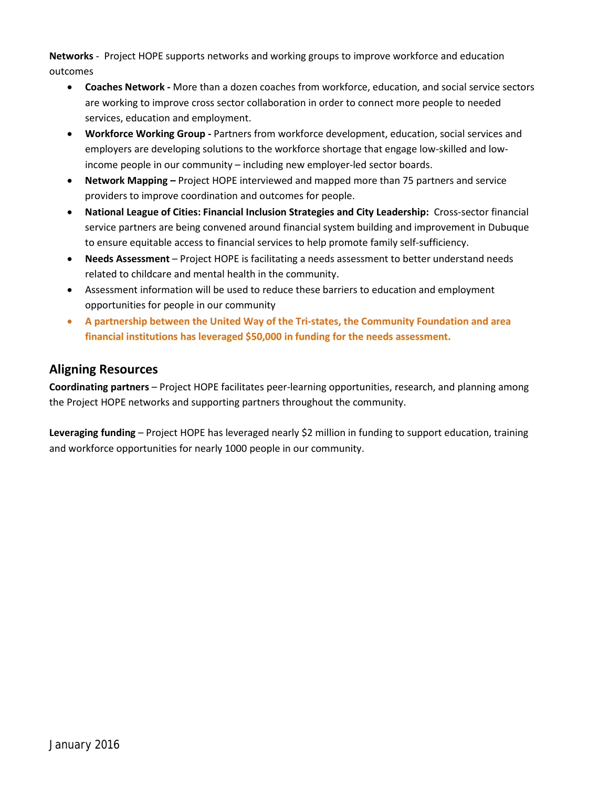**Networks** - Project HOPE supports networks and working groups to improve workforce and education outcomes

- **Coaches Network -** More than a dozen coaches from workforce, education, and social service sectors are working to improve cross sector collaboration in order to connect more people to needed services, education and employment.
- **Workforce Working Group -** Partners from workforce development, education, social services and employers are developing solutions to the workforce shortage that engage low-skilled and lowincome people in our community – including new employer-led sector boards.
- **Network Mapping –** Project HOPE interviewed and mapped more than 75 partners and service providers to improve coordination and outcomes for people.
- **National League of Cities: Financial Inclusion Strategies and City Leadership:** Cross-sector financial service partners are being convened around financial system building and improvement in Dubuque to ensure equitable access to financial services to help promote family self-sufficiency.
- **Needs Assessment** Project HOPE is facilitating a needs assessment to better understand needs related to childcare and mental health in the community.
- Assessment information will be used to reduce these barriers to education and employment opportunities for people in our community
- **A partnership between the United Way of the Tri-states, the Community Foundation and area financial institutions has leveraged \$50,000 in funding for the needs assessment.**

#### **Aligning Resources**

**Coordinating partners** – Project HOPE facilitates peer-learning opportunities, research, and planning among the Project HOPE networks and supporting partners throughout the community.

**Leveraging funding** – Project HOPE has leveraged nearly \$2 million in funding to support education, training and workforce opportunities for nearly 1000 people in our community.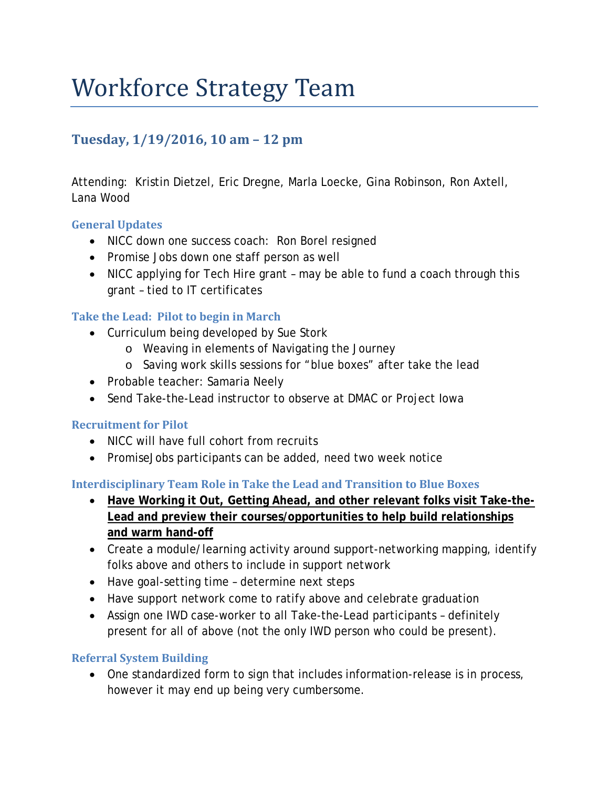## Workforce Strategy Team

### **Tuesday, 1/19/2016, 10 am – 12 pm**

Attending: Kristin Dietzel, Eric Dregne, Marla Loecke, Gina Robinson, Ron Axtell, Lana Wood

#### **General Updates**

- NICC down one success coach: Ron Borel resigned
- Promise Jobs down one staff person as well
- NICC applying for Tech Hire grant may be able to fund a coach through this grant – tied to IT certificates

#### **Take the Lead: Pilot to begin in March**

- Curriculum being developed by Sue Stork
	- o Weaving in elements of Navigating the Journey
	- o Saving work skills sessions for "blue boxes" after take the lead
- Probable teacher: Samaria Neely
- Send Take-the-Lead instructor to observe at DMAC or Project Iowa

#### **Recruitment for Pilot**

- NICC will have full cohort from recruits
- PromiseJobs participants can be added, need two week notice

#### **Interdisciplinary Team Role in Take the Lead and Transition to Blue Boxes**

- **Have Working it Out, Getting Ahead, and other relevant folks visit Take-the-Lead and preview their courses/opportunities to help build relationships and warm hand-off**
- Create a module/learning activity around support-networking mapping, identify folks above and others to include in support network
- Have goal-setting time determine next steps
- Have support network come to ratify above and celebrate graduation
- Assign one IWD case-worker to all Take-the-Lead participants definitely present for all of above (not the only IWD person who could be present).

#### **Referral System Building**

• One standardized form to sign that includes information-release is in process, however it may end up being very cumbersome.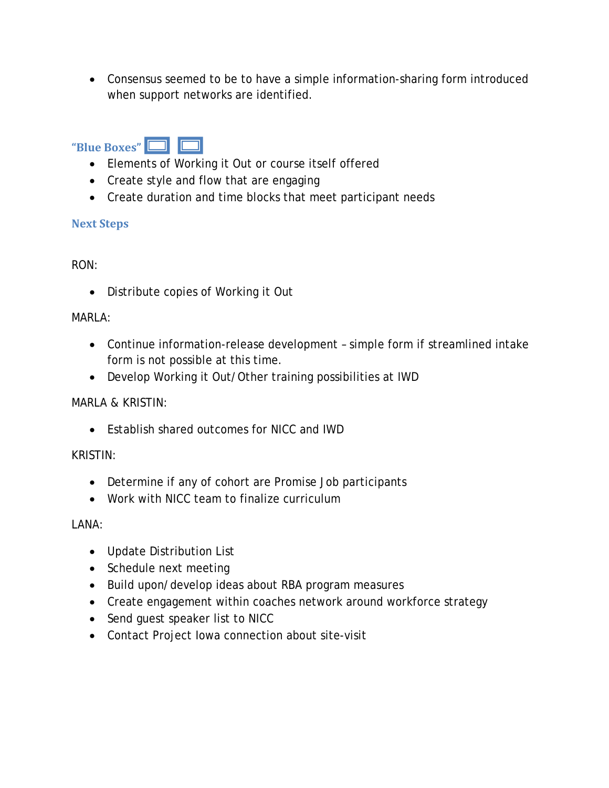• Consensus seemed to be to have a simple information-sharing form introduced when support networks are identified.

## **"Blue Boxes"**

- Elements of Working it Out or course itself offered
- Create style and flow that are engaging
- Create duration and time blocks that meet participant needs

#### **Next Steps**

#### RON:

• Distribute copies of Working it Out

#### MARLA:

- Continue information-release development simple form if streamlined intake form is not possible at this time.
- Develop Working it Out/Other training possibilities at IWD

#### MARLA & KRISTIN:

• Establish shared outcomes for NICC and IWD

#### KRISTIN:

- Determine if any of cohort are Promise Job participants
- Work with NICC team to finalize curriculum

LANA:

- Update Distribution List
- Schedule next meeting
- Build upon/develop ideas about RBA program measures
- Create engagement within coaches network around workforce strategy
- Send guest speaker list to NICC
- Contact Project Iowa connection about site-visit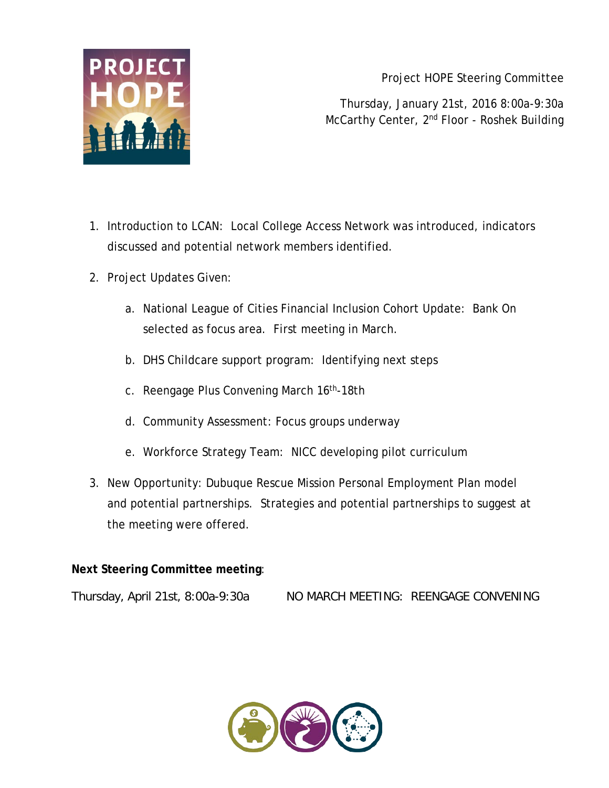

Project HOPE Steering Committee

Thursday, January 21st, 2016 8:00a-9:30a McCarthy Center, 2nd Floor - Roshek Building

- 1. Introduction to LCAN: Local College Access Network was introduced, indicators discussed and potential network members identified.
- 2. Project Updates Given:
	- a. National League of Cities Financial Inclusion Cohort Update: Bank On selected as focus area. First meeting in March.
	- b. DHS Childcare support program: Identifying next steps
	- c. Reengage Plus Convening March 16th-18th
	- d. Community Assessment: Focus groups underway
	- e. Workforce Strategy Team: NICC developing pilot curriculum
- 3. New Opportunity: Dubuque Rescue Mission Personal Employment Plan model and potential partnerships. Strategies and potential partnerships to suggest at the meeting were offered.

#### **Next Steering Committee meeting**:

Thursday, April 21st, 8:00a-9:30a NO MARCH MEETING: REENGAGE CONVENING

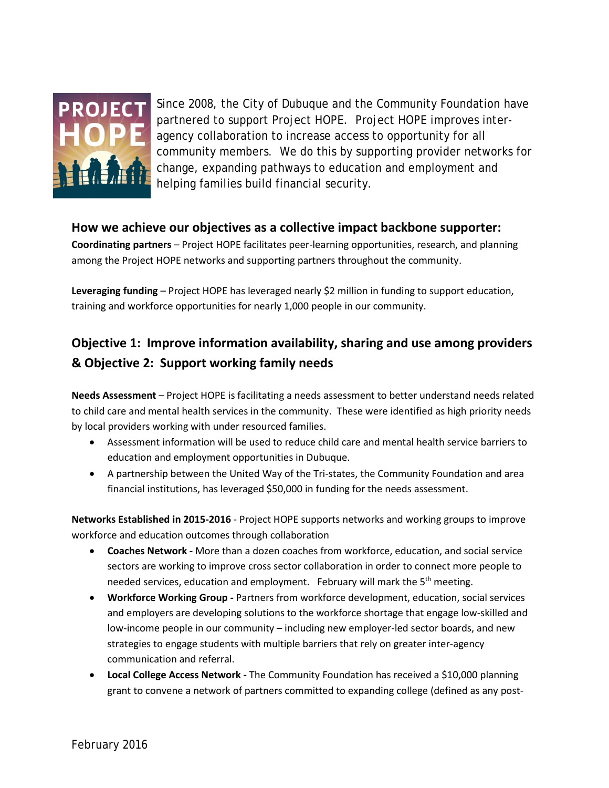

Since 2008, the City of Dubuque and the Community Foundation have partnered to support Project HOPE. Project HOPE improves interagency collaboration to increase access to opportunity for all community members. We do this by supporting provider networks for change, expanding pathways to education and employment and helping families build financial security.

#### **How we achieve our objectives as a collective impact backbone supporter:**

**Coordinating partners** – Project HOPE facilitates peer-learning opportunities, research, and planning among the Project HOPE networks and supporting partners throughout the community.

**Leveraging funding** – Project HOPE has leveraged nearly \$2 million in funding to support education, training and workforce opportunities for nearly 1,000 people in our community.

### **Objective 1: Improve information availability, sharing and use among providers & Objective 2: Support working family needs**

**Needs Assessment** – Project HOPE is facilitating a needs assessment to better understand needs related to child care and mental health services in the community. These were identified as high priority needs by local providers working with under resourced families.

- Assessment information will be used to reduce child care and mental health service barriers to education and employment opportunities in Dubuque.
- A partnership between the United Way of the Tri-states, the Community Foundation and area financial institutions, has leveraged \$50,000 in funding for the needs assessment.

**Networks Established in 2015-2016** - Project HOPE supports networks and working groups to improve workforce and education outcomes through collaboration

- **Coaches Network -** More than a dozen coaches from workforce, education, and social service sectors are working to improve cross sector collaboration in order to connect more people to needed services, education and employment. February will mark the 5<sup>th</sup> meeting.
- **Workforce Working Group -** Partners from workforce development, education, social services and employers are developing solutions to the workforce shortage that engage low-skilled and low-income people in our community – including new employer-led sector boards, and new strategies to engage students with multiple barriers that rely on greater inter-agency communication and referral.
- **Local College Access Network -** The Community Foundation has received a \$10,000 planning grant to convene a network of partners committed to expanding college (defined as any post-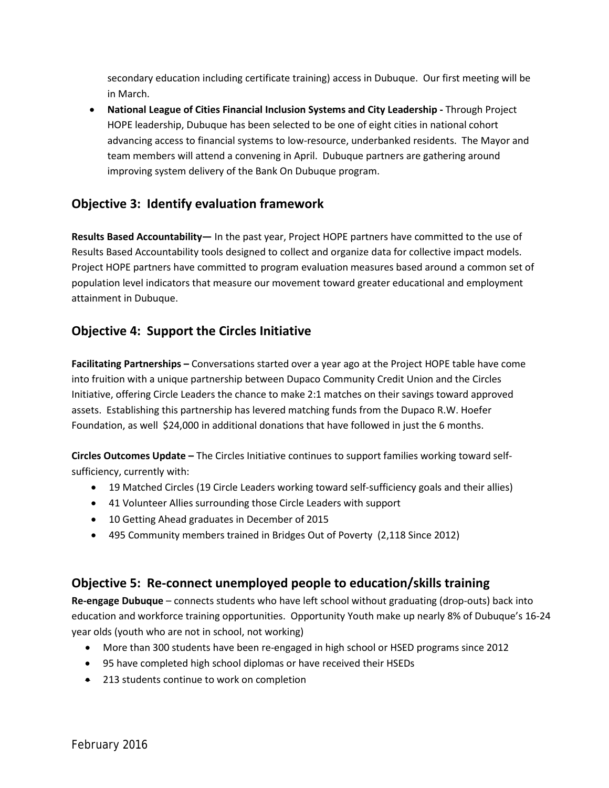secondary education including certificate training) access in Dubuque. Our first meeting will be in March.

• **National League of Cities Financial Inclusion Systems and City Leadership -** Through Project HOPE leadership, Dubuque has been selected to be one of eight cities in national cohort advancing access to financial systems to low-resource, underbanked residents. The Mayor and team members will attend a convening in April. Dubuque partners are gathering around improving system delivery of the Bank On Dubuque program.

### **Objective 3: Identify evaluation framework**

**Results Based Accountability—** In the past year, Project HOPE partners have committed to the use of Results Based Accountability tools designed to collect and organize data for collective impact models. Project HOPE partners have committed to program evaluation measures based around a common set of population level indicators that measure our movement toward greater educational and employment attainment in Dubuque.

#### **Objective 4: Support the Circles Initiative**

**Facilitating Partnerships –** Conversations started over a year ago at the Project HOPE table have come into fruition with a unique partnership between Dupaco Community Credit Union and the Circles Initiative, offering Circle Leaders the chance to make 2:1 matches on their savings toward approved assets. Establishing this partnership has levered matching funds from the Dupaco R.W. Hoefer Foundation, as well \$24,000 in additional donations that have followed in just the 6 months.

**Circles Outcomes Update –** The Circles Initiative continues to support families working toward selfsufficiency, currently with:

- 19 Matched Circles (19 Circle Leaders working toward self-sufficiency goals and their allies)
- 41 Volunteer Allies surrounding those Circle Leaders with support
- 10 Getting Ahead graduates in December of 2015
- 495 Community members trained in Bridges Out of Poverty (2,118 Since 2012)

#### **Objective 5: Re-connect unemployed people to education/skills training**

**Re-engage Dubuque** – connects students who have left school without graduating (drop-outs) back into education and workforce training opportunities. Opportunity Youth make up nearly 8% of Dubuque's 16-24 year olds (youth who are not in school, not working)

- More than 300 students have been re-engaged in high school or HSED programs since 2012
- 95 have completed high school diplomas or have received their HSEDs
- 213 students continue to work on completion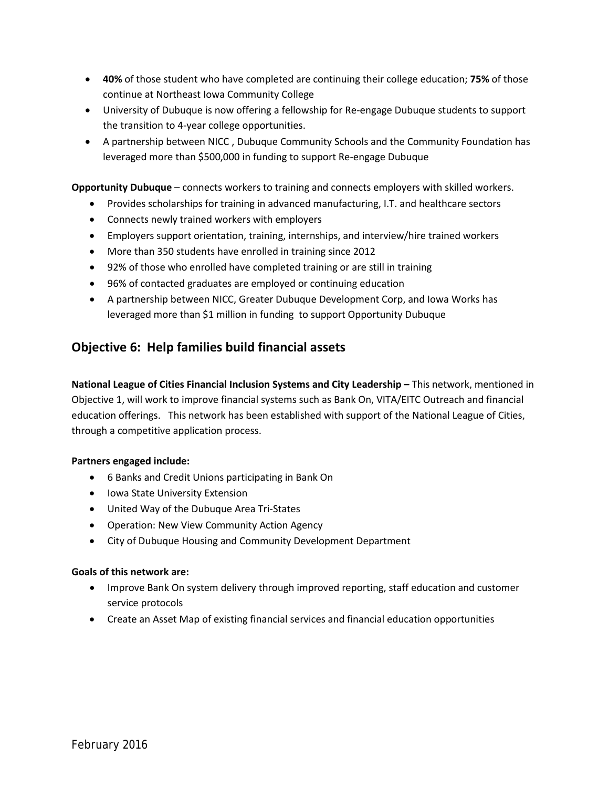- **40%** of those student who have completed are continuing their college education; **75%** of those continue at Northeast Iowa Community College
- University of Dubuque is now offering a fellowship for Re-engage Dubuque students to support the transition to 4-year college opportunities.
- A partnership between NICC , Dubuque Community Schools and the Community Foundation has leveraged more than \$500,000 in funding to support Re-engage Dubuque

**Opportunity Dubuque** – connects workers to training and connects employers with skilled workers.

- Provides scholarships for training in advanced manufacturing, I.T. and healthcare sectors
- Connects newly trained workers with employers
- Employers support orientation, training, internships, and interview/hire trained workers
- More than 350 students have enrolled in training since 2012
- 92% of those who enrolled have completed training or are still in training
- 96% of contacted graduates are employed or continuing education
- A partnership between NICC, Greater Dubuque Development Corp, and Iowa Works has leveraged more than \$1 million in funding to support Opportunity Dubuque

#### **Objective 6: Help families build financial assets**

**National League of Cities Financial Inclusion Systems and City Leadership –** This network, mentioned in Objective 1, will work to improve financial systems such as Bank On, VITA/EITC Outreach and financial education offerings. This network has been established with support of the National League of Cities, through a competitive application process.

#### **Partners engaged include:**

- 6 Banks and Credit Unions participating in Bank On
- Iowa State University Extension
- United Way of the Dubuque Area Tri-States
- Operation: New View Community Action Agency
- City of Dubuque Housing and Community Development Department

#### **Goals of this network are:**

- Improve Bank On system delivery through improved reporting, staff education and customer service protocols
- Create an Asset Map of existing financial services and financial education opportunities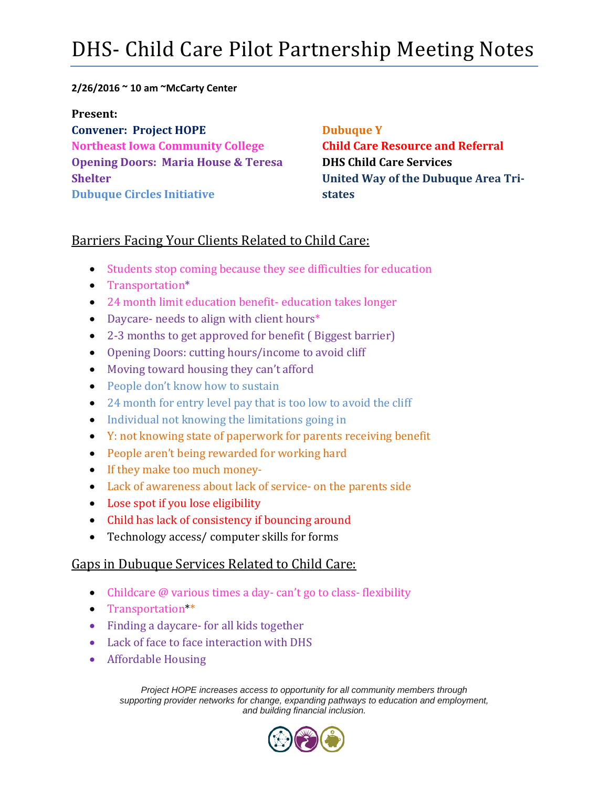## DHS- Child Care Pilot Partnership Meeting Notes

#### **2/26/2016 ~ 10 am ~McCarty Center**

**Present:**

**Convener: Project HOPE Northeast Iowa Community College Opening Doors: Maria House & Teresa Shelter Dubuque Circles Initiative**

#### **Dubuque Y**

**Child Care Resource and Referral DHS Child Care Services United Way of the Dubuque Area Tristates**

#### Barriers Facing Your Clients Related to Child Care:

- Students stop coming because they see difficulties for education
- Transportation\*
- 24 month limit education benefit- education takes longer
- Daycare- needs to align with client hours\*
- 2-3 months to get approved for benefit ( Biggest barrier)
- Opening Doors: cutting hours/income to avoid cliff
- Moving toward housing they can't afford
- People don't know how to sustain
- 24 month for entry level pay that is too low to avoid the cliff
- Individual not knowing the limitations going in
- Y: not knowing state of paperwork for parents receiving benefit
- People aren't being rewarded for working hard
- If they make too much money-
- Lack of awareness about lack of service- on the parents side
- Lose spot if you lose eligibility
- Child has lack of consistency if bouncing around
- Technology access/ computer skills for forms

#### Gaps in Dubuque Services Related to Child Care:

- Childcare @ various times a day-can't go to class-flexibility
- Transportation\*\*
- Finding a daycare- for all kids together
- Lack of face to face interaction with DHS
- Affordable Housing

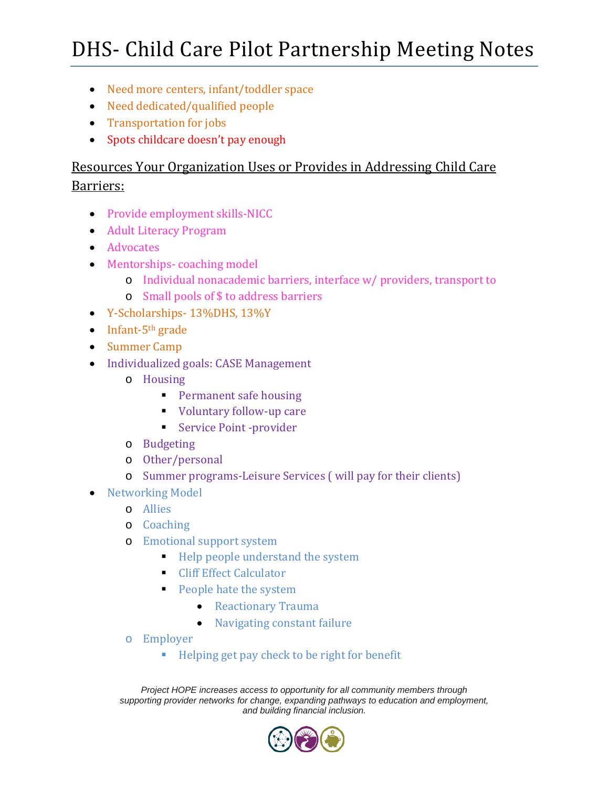## DHS- Child Care Pilot Partnership Meeting Notes

- Need more centers, infant/toddler space
- Need dedicated/qualified people
- Transportation for jobs
- Spots childcare doesn't pay enough

### Resources Your Organization Uses or Provides in Addressing Child Care Barriers:

- Provide employment skills-NICC
- Adult Literacy Program
- Advocates
- Mentorships-coaching model
	- o Individual nonacademic barriers, interface w/ providers, transport to
	- o Small pools of \$ to address barriers
- Y-Scholarships- 13%DHS, 13%Y
- $\bullet$  Infant-5<sup>th</sup> grade
- Summer Camp
- Individualized goals: CASE Management
	- o Housing
		- **Permanent safe housing**
		- Voluntary follow-up care
		- Service Point -provider
	- o Budgeting
	- o Other/personal
	- o Summer programs-Leisure Services ( will pay for their clients)
- Networking Model
	- o Allies
	- o Coaching
	- o Emotional support system
		- $\blacksquare$  Help people understand the system
		- **Cliff Effect Calculator**
		- **People hate the system** 
			- Reactionary Trauma
			- Navigating constant failure
	- o Employer
		- Helping get pay check to be right for benefit

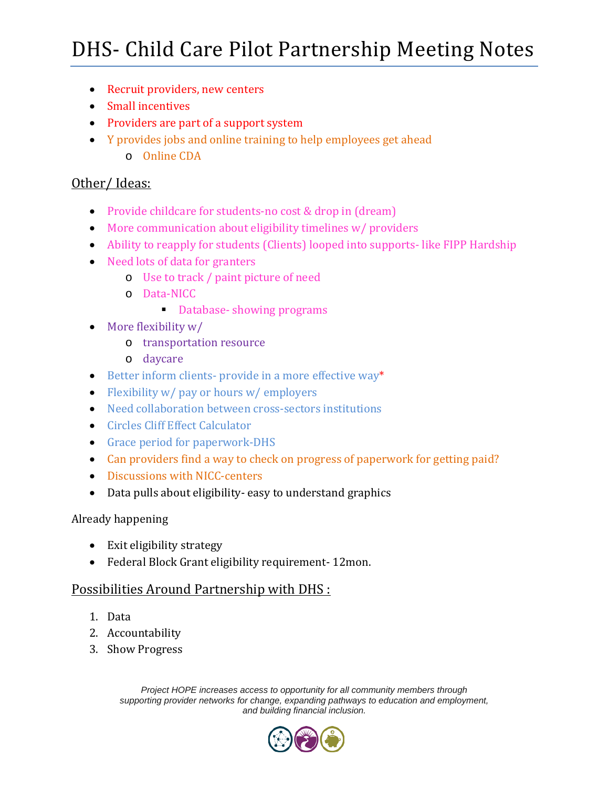## DHS- Child Care Pilot Partnership Meeting Notes

- Recruit providers, new centers
- Small incentives
- Providers are part of a support system
- Y provides jobs and online training to help employees get ahead
	- o Online CDA

#### Other/ Ideas:

- Provide childcare for students-no cost & drop in (dream)
- More communication about eligibility timelines w/ providers
- Ability to reapply for students (Clients) looped into supports- like FIPP Hardship
- Need lots of data for granters
	- o Use to track / paint picture of need
	- o Data-NICC
		- Database- showing programs
- More flexibility w/
	- o transportation resource
	- o daycare
- Better inform clients- provide in a more effective way\*
- Flexibility w/ pay or hours w/ employers
- Need collaboration between cross-sectors institutions
- Circles Cliff Effect Calculator
- Grace period for paperwork-DHS
- Can providers find a way to check on progress of paperwork for getting paid?
- Discussions with NICC-centers
- Data pulls about eligibility- easy to understand graphics

#### Already happening

- Exit eligibility strategy
- Federal Block Grant eligibility requirement- 12mon.

#### Possibilities Around Partnership with DHS :

- 1. Data
- 2. Accountability
- 3. Show Progress

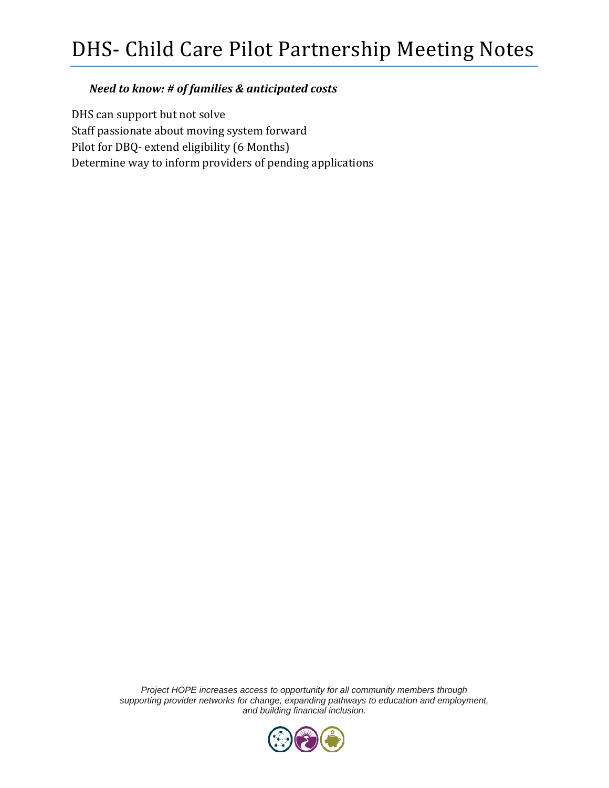#### *Need to know: # of families & anticipated costs*

DHS can support but not solve Staff passionate about moving system forward Pilot for DBQ- extend eligibility (6 Months) Determine way to inform providers of pending applications

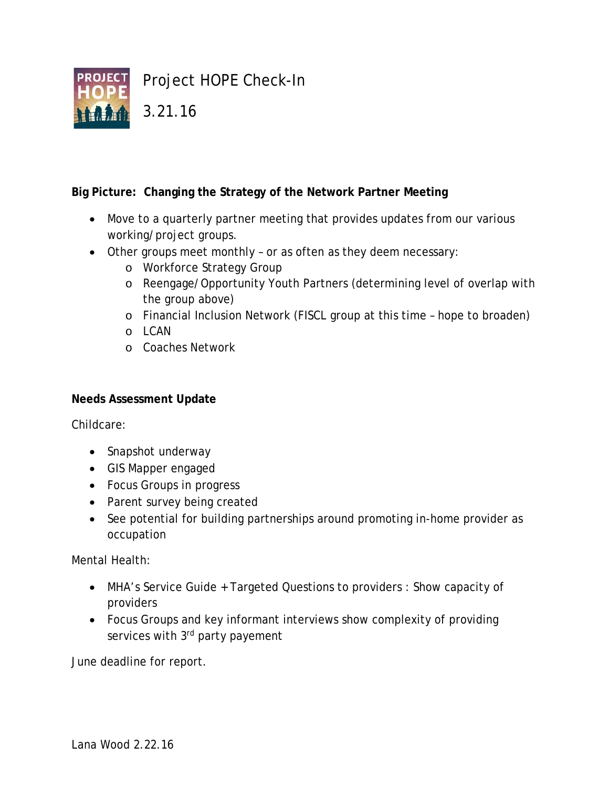

#### **Big Picture: Changing the Strategy of the Network Partner Meeting**

- Move to a quarterly partner meeting that provides updates from our various working/project groups.
- Other groups meet monthly or as often as they deem necessary:
	- o Workforce Strategy Group
	- o Reengage/Opportunity Youth Partners (determining level of overlap with the group above)
	- o Financial Inclusion Network (FISCL group at this time hope to broaden)
	- o LCAN
	- o Coaches Network

#### **Needs Assessment Update**

Childcare:

- Snapshot underway
- GIS Mapper engaged
- Focus Groups in progress
- Parent survey being created
- See potential for building partnerships around promoting in-home provider as occupation

Mental Health:

- MHA's Service Guide + Targeted Questions to providers : Show capacity of providers
- Focus Groups and key informant interviews show complexity of providing services with 3rd party payement

June deadline for report.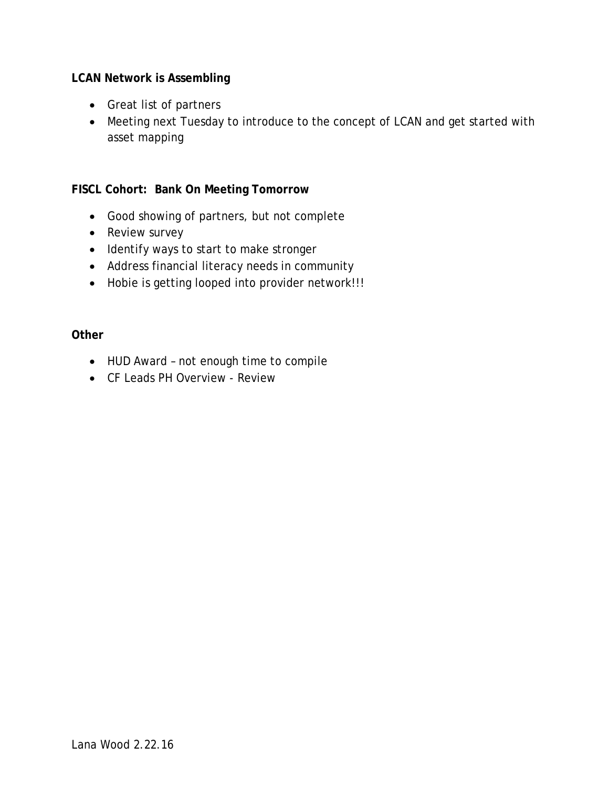#### **LCAN Network is Assembling**

- Great list of partners
- Meeting next Tuesday to introduce to the concept of LCAN and get started with asset mapping

#### **FISCL Cohort: Bank On Meeting Tomorrow**

- Good showing of partners, but not complete
- Review survey
- Identify ways to start to make stronger
- Address financial literacy needs in community
- Hobie is getting looped into provider network!!!

#### **Other**

- HUD Award not enough time to compile
- CF Leads PH Overview Review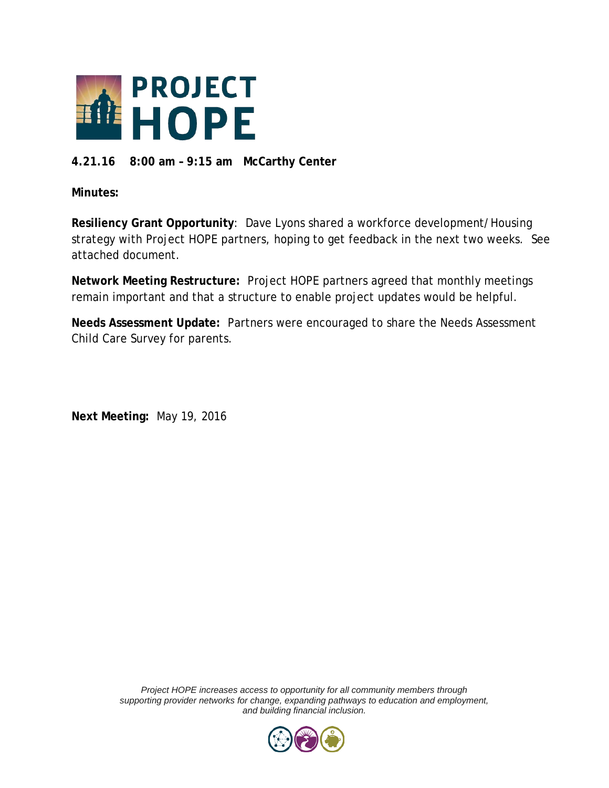

#### **4.21.16 8:00 am – 9:15 am McCarthy Center**

**Minutes:**

**Resiliency Grant Opportunity**: Dave Lyons shared a workforce development/Housing strategy with Project HOPE partners, hoping to get feedback in the next two weeks. See attached document.

**Network Meeting Restructure:** Project HOPE partners agreed that monthly meetings remain important and that a structure to enable project updates would be helpful.

**Needs Assessment Update:** Partners were encouraged to share the Needs Assessment Child Care Survey for parents.

**Next Meeting:** May 19, 2016

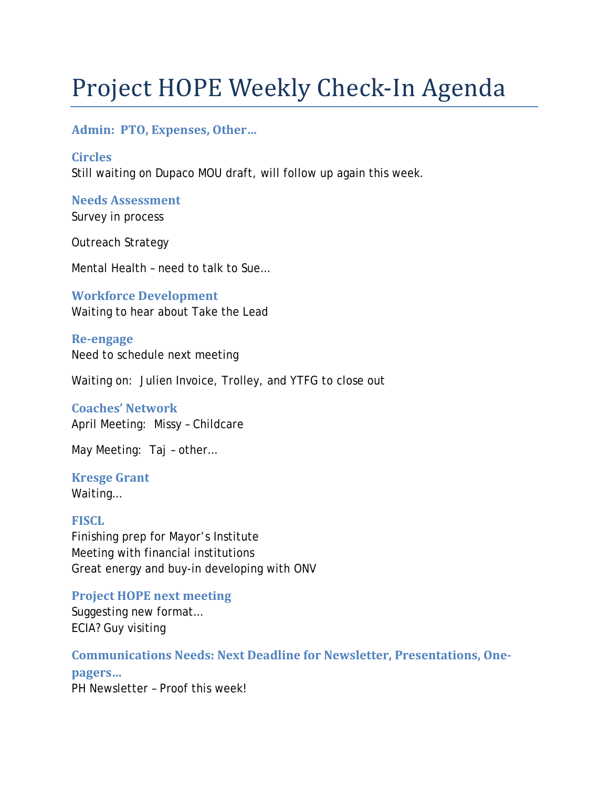# Project HOPE Weekly Check-In Agenda

#### **Admin: PTO, Expenses, Other…**

**Circles** Still waiting on Dupaco MOU draft, will follow up again this week.

**Needs Assessment** Survey in process

Outreach Strategy

Mental Health – need to talk to Sue…

**Workforce Development** Waiting to hear about Take the Lead

**Re-engage** Need to schedule next meeting

Waiting on: Julien Invoice, Trolley, and YTFG to close out

## **Coaches' Network**

April Meeting: Missy – Childcare

May Meeting: Taj – other…

**Kresge Grant** Waiting…

**FISCL** Finishing prep for Mayor's Institute Meeting with financial institutions Great energy and buy-in developing with ONV

**Project HOPE next meeting** Suggesting new format…

ECIA? Guy visiting

**Communications Needs: Next Deadline for Newsletter, Presentations, Onepagers…**

PH Newsletter – Proof this week!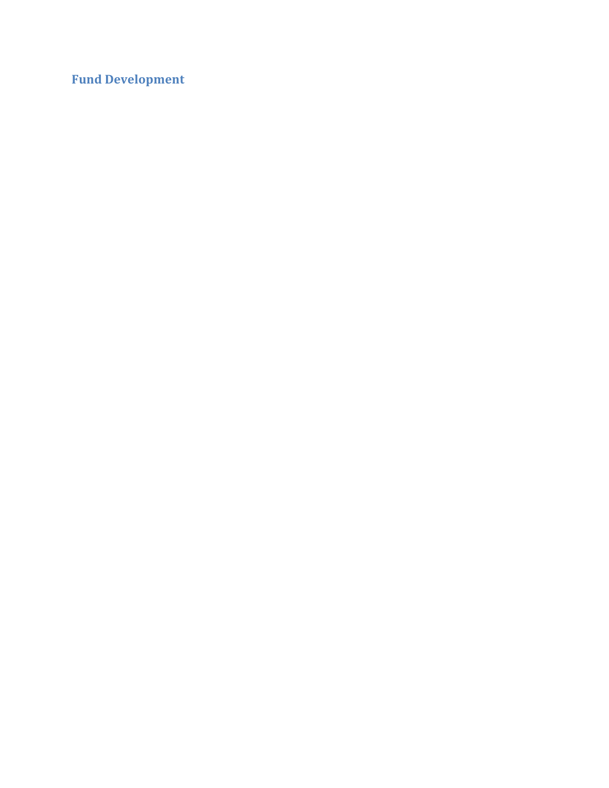**Fund Development**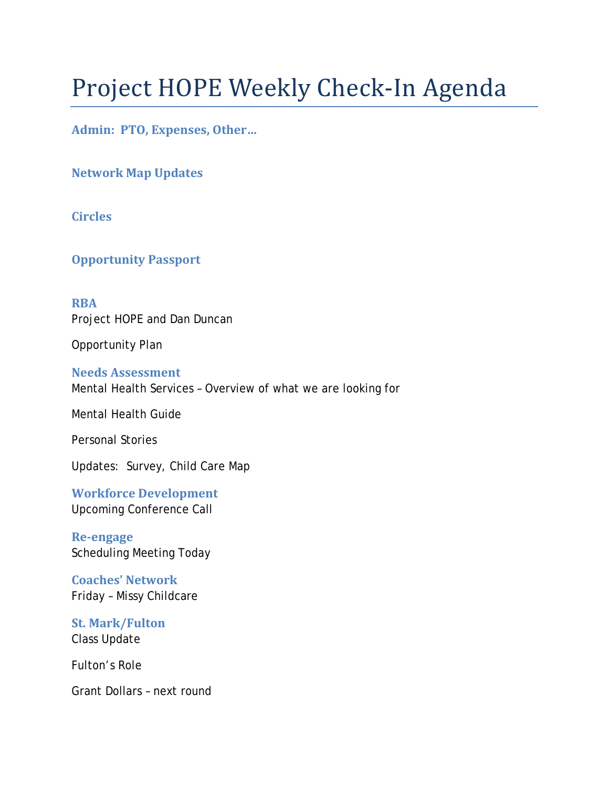# Project HOPE Weekly Check-In Agenda

**Admin: PTO, Expenses, Other…**

**Network Map Updates**

**Circles**

**Opportunity Passport**

**RBA**  Project HOPE and Dan Duncan

Opportunity Plan

**Needs Assessment** Mental Health Services – Overview of what we are looking for

Mental Health Guide

Personal Stories

Updates: Survey, Child Care Map

**Workforce Development** Upcoming Conference Call

**Re-engage** Scheduling Meeting Today

**Coaches' Network** Friday – Missy Childcare

**St. Mark/Fulton** Class Update

Fulton's Role

Grant Dollars – next round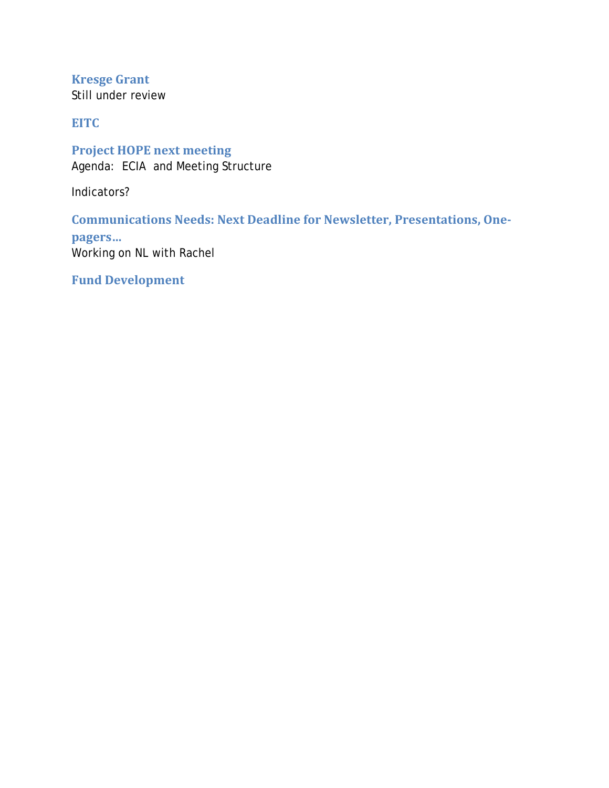**Kresge Grant** Still under review

**EITC**

**Project HOPE next meeting** Agenda: ECIA and Meeting Structure

Indicators?

**Communications Needs: Next Deadline for Newsletter, Presentations, One-**

**pagers…** Working on NL with Rachel

**Fund Development**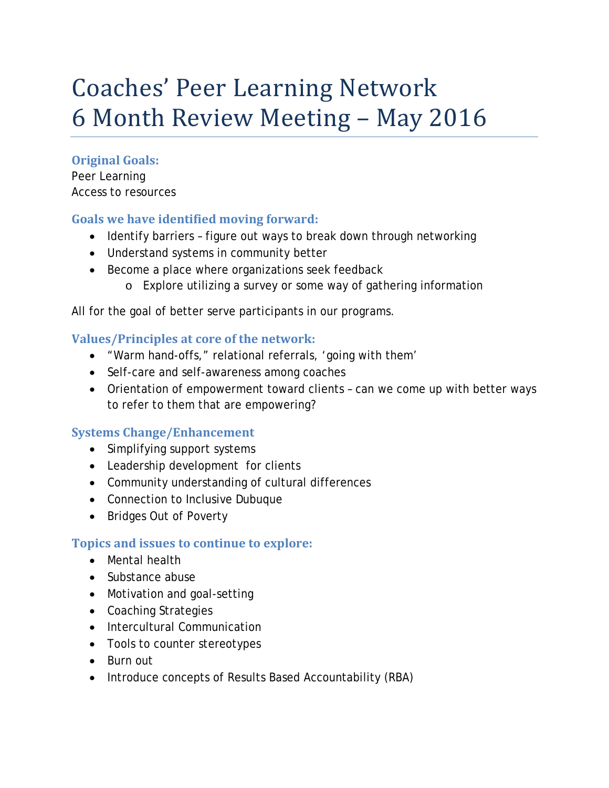## Coaches' Peer Learning Network 6 Month Review Meeting – May 2016

#### **Original Goals:**

Peer Learning Access to resources

#### **Goals we have identified moving forward:**

- Identify barriers figure out ways to break down through networking
- Understand systems in community better
- Become a place where organizations seek feedback
	- o Explore utilizing a survey or some way of gathering information

All for the goal of better serve participants in our programs.

#### **Values/Principles at core of the network:**

- "Warm hand-offs," relational referrals, 'going with them'
- Self-care and self-awareness among coaches
- Orientation of empowerment toward clients can we come up with better ways to refer to them that are empowering?

#### **Systems Change/Enhancement**

- Simplifying support systems
- Leadership development for clients
- Community understanding of cultural differences
- Connection to Inclusive Dubuque
- Bridges Out of Poverty

#### **Topics and issues to continue to explore:**

- Mental health
- Substance abuse
- Motivation and goal-setting
- Coaching Strategies
- Intercultural Communication
- Tools to counter stereotypes
- Burn out
- Introduce concepts of Results Based Accountability (RBA)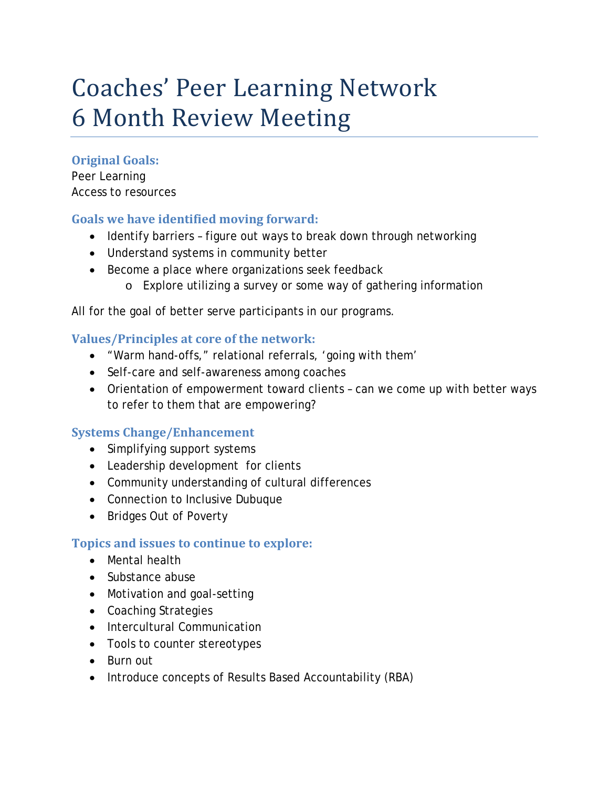## Coaches' Peer Learning Network 6 Month Review Meeting

#### **Original Goals:**

Peer Learning Access to resources

#### **Goals we have identified moving forward:**

- Identify barriers figure out ways to break down through networking
- Understand systems in community better
- Become a place where organizations seek feedback
	- o Explore utilizing a survey or some way of gathering information

All for the goal of better serve participants in our programs.

#### **Values/Principles at core of the network:**

- "Warm hand-offs," relational referrals, 'going with them'
- Self-care and self-awareness among coaches
- Orientation of empowerment toward clients can we come up with better ways to refer to them that are empowering?

#### **Systems Change/Enhancement**

- Simplifying support systems
- Leadership development for clients
- Community understanding of cultural differences
- Connection to Inclusive Dubuque
- Bridges Out of Poverty

#### **Topics and issues to continue to explore:**

- Mental health
- Substance abuse
- Motivation and goal-setting
- Coaching Strategies
- Intercultural Communication
- Tools to counter stereotypes
- Burn out
- Introduce concepts of Results Based Accountability (RBA)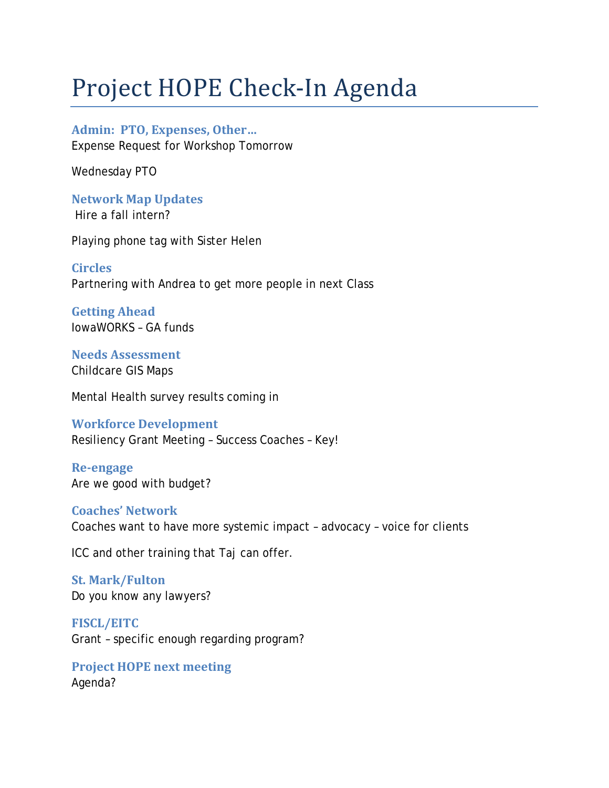## Project HOPE Check-In Agenda

**Admin: PTO, Expenses, Other…** Expense Request for Workshop Tomorrow

Wednesday PTO

**Network Map Updates** Hire a fall intern?

Playing phone tag with Sister Helen

**Circles** Partnering with Andrea to get more people in next Class

**Getting Ahead** Iowa*WORKS –* GA funds

**Needs Assessment** Childcare GIS Maps

Mental Health survey results coming in

**Workforce Development** Resiliency Grant Meeting – Success Coaches – Key!

**Re-engage** Are we good with budget?

**Coaches' Network** Coaches want to have more systemic impact – advocacy – voice for clients

ICC and other training that Taj can offer.

**St. Mark/Fulton** Do you know any lawyers?

**FISCL/EITC** Grant – specific enough regarding program?

**Project HOPE next meeting** Agenda?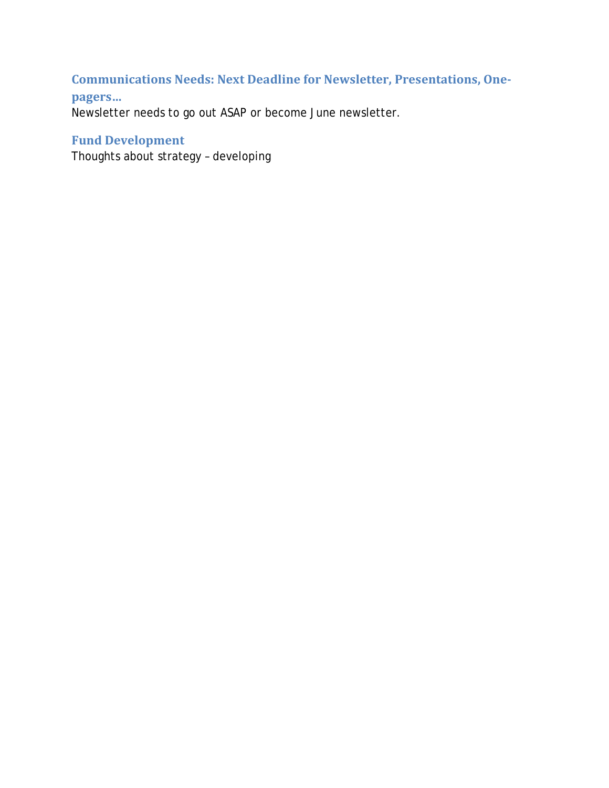### **Communications Needs: Next Deadline for Newsletter, Presentations, One-**

#### **pagers…**

Newsletter needs to go out ASAP or become June newsletter.

#### **Fund Development**

Thoughts about strategy – developing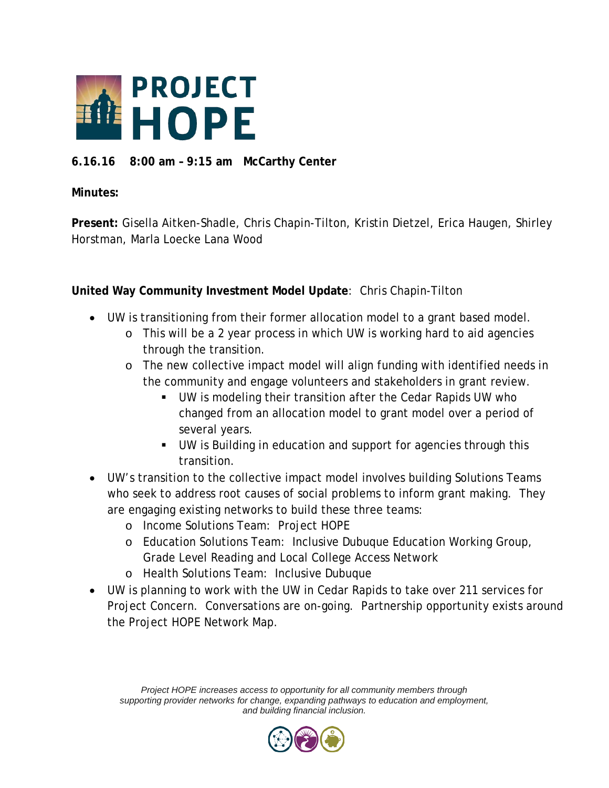

#### **6.16.16 8:00 am – 9:15 am McCarthy Center**

#### **Minutes:**

**Present:** Gisella Aitken-Shadle, Chris Chapin-Tilton, Kristin Dietzel, Erica Haugen, Shirley Horstman, Marla Loecke Lana Wood

**United Way Community Investment Model Update**: Chris Chapin-Tilton

- UW is transitioning from their former allocation model to a grant based model.
	- o This will be a 2 year process in which UW is working hard to aid agencies through the transition.
	- o The new collective impact model will align funding with identified needs in the community and engage volunteers and stakeholders in grant review.
		- UW is modeling their transition after the Cedar Rapids UW who changed from an allocation model to grant model over a period of several years.
		- UW is Building in education and support for agencies through this transition.
- UW's transition to the collective impact model involves building Solutions Teams who seek to address root causes of social problems to inform grant making. They are engaging existing networks to build these three teams:
	- o Income Solutions Team: Project HOPE
	- o Education Solutions Team: Inclusive Dubuque Education Working Group, Grade Level Reading and Local College Access Network
	- o Health Solutions Team: Inclusive Dubuque
- UW is planning to work with the UW in Cedar Rapids to take over 211 services for Project Concern. Conversations are on-going. Partnership opportunity exists around the Project HOPE Network Map.

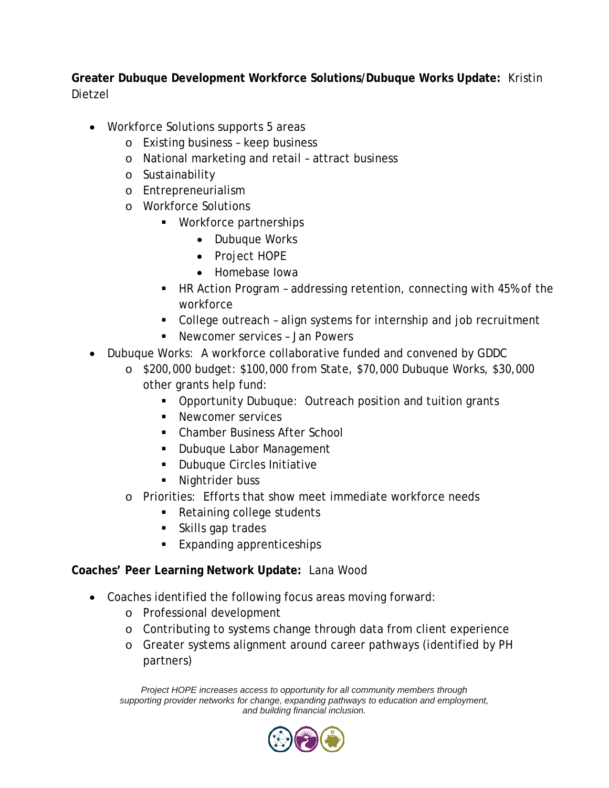**Greater Dubuque Development Workforce Solutions/Dubuque Works Update:** Kristin Dietzel

- Workforce Solutions supports 5 areas
	- o Existing business keep business
	- o National marketing and retail attract business
	- o Sustainability
	- o Entrepreneurialism
	- o Workforce Solutions
		- Workforce partnerships
			- Dubuque Works
			- Project HOPE
			- Homebase Iowa
		- HR Action Program addressing retention, connecting with 45% of the workforce
		- College outreach align systems for internship and job recruitment
		- Newcomer services Jan Powers
- Dubuque Works: A workforce collaborative funded and convened by GDDC
	- o \$200,000 budget: \$100,000 from State, \$70,000 Dubuque Works, \$30,000 other grants help fund:
		- **Opportunity Dubuque: Outreach position and tuition grants**
		- **Newcomer services**
		- Chamber Business After School
		- **Dubuque Labor Management**
		- **Dubuque Circles Initiative**
		- Nightrider buss
	- o Priorities: Efforts that show meet immediate workforce needs
		- Retaining college students
		- Skills gap trades
		- Expanding apprenticeships

#### **Coaches' Peer Learning Network Update:** Lana Wood

- Coaches identified the following focus areas moving forward:
	- o Professional development
	- o Contributing to systems change through data from client experience
	- o Greater systems alignment around career pathways (identified by PH partners)